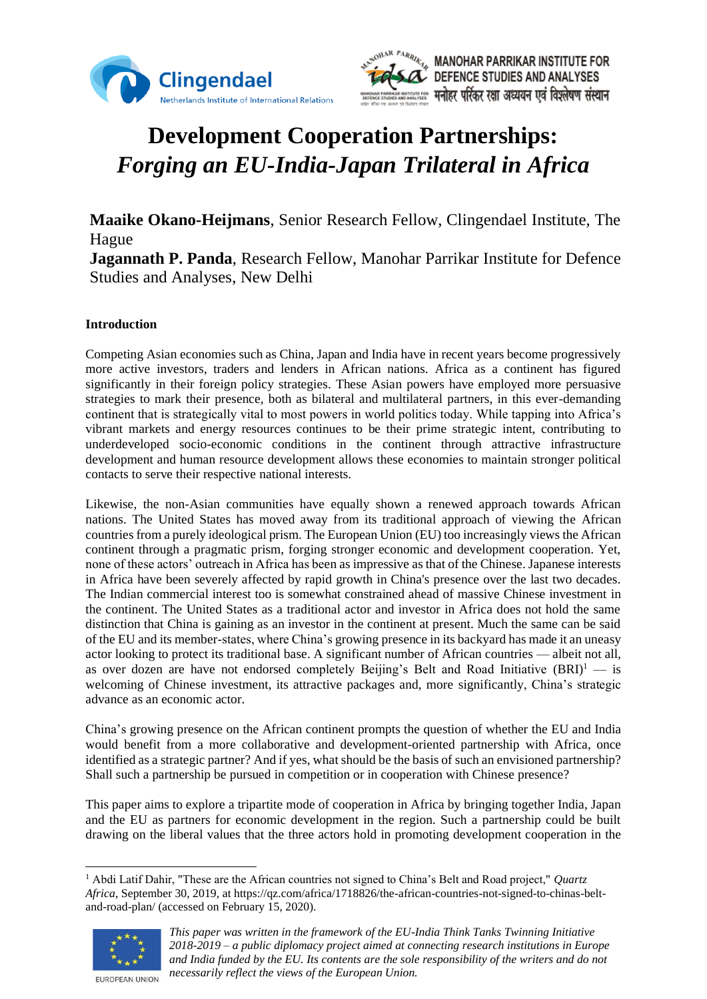



# **Development Cooperation Partnerships:**  *Forging an EU-India-Japan Trilateral in Africa*

**Maaike Okano-Heijmans**, Senior Research Fellow, Clingendael Institute, The Hague **Jagannath P. Panda**, Research Fellow, Manohar Parrikar Institute for Defence Studies and Analyses, New Delhi

# **Introduction**

Competing Asian economies such as China, Japan and India have in recent years become progressively more active investors, traders and lenders in African nations. Africa as a continent has figured significantly in their foreign policy strategies. These Asian powers have employed more persuasive strategies to mark their presence, both as bilateral and multilateral partners, in this ever-demanding continent that is strategically vital to most powers in world politics today. While tapping into Africa's vibrant markets and energy resources continues to be their prime strategic intent, contributing to underdeveloped socio-economic conditions in the continent through attractive infrastructure development and human resource development allows these economies to maintain stronger political contacts to serve their respective national interests.

Likewise, the non-Asian communities have equally shown a renewed approach towards African nations. The United States has moved away from its traditional approach of viewing the African countries from a purely ideological prism. The European Union (EU) too increasingly views the African continent through a pragmatic prism, forging stronger economic and development cooperation. Yet, none of these actors' outreach in Africa has been as impressive as that of the Chinese. Japanese interests in Africa have been severely affected by rapid growth in China's presence over the last two decades. The Indian commercial interest too is somewhat constrained ahead of massive Chinese investment in the continent. The United States as a traditional actor and investor in Africa does not hold the same distinction that China is gaining as an investor in the continent at present. Much the same can be said of the EU and its member-states, where China's growing presence in its backyard has made it an uneasy actor looking to protect its traditional base. A significant number of African countries — albeit not all, as over dozen are have not endorsed completely Beijing's Belt and Road Initiative  $(BRD<sup>1</sup>$  — is welcoming of Chinese investment, its attractive packages and, more significantly, China's strategic advance as an economic actor.

China's growing presence on the African continent prompts the question of whether the EU and India would benefit from a more collaborative and development-oriented partnership with Africa, once identified as a strategic partner? And if yes, what should be the basis of such an envisioned partnership? Shall such a partnership be pursued in competition or in cooperation with Chinese presence?

This paper aims to explore a tripartite mode of cooperation in Africa by bringing together India, Japan and the EU as partners for economic development in the region. Such a partnership could be built drawing on the liberal values that the three actors hold in promoting development cooperation in the

<sup>1</sup> Abdi Latif Dahir, "These are the African countries not signed to China's Belt and Road project," *Quartz Africa*, September 30, 2019, at https://qz.com/africa/1718826/the-african-countries-not-signed-to-chinas-beltand-road-plan/ (accessed on February 15, 2020).



*This paper was written in the framework of the EU-India Think Tanks Twinning Initiative 2018-2019 – a public diplomacy project aimed at connecting research institutions in Europe and India funded by the EU. Its contents are the sole responsibility of the writers and do not necessarily reflect the views of the European Union.*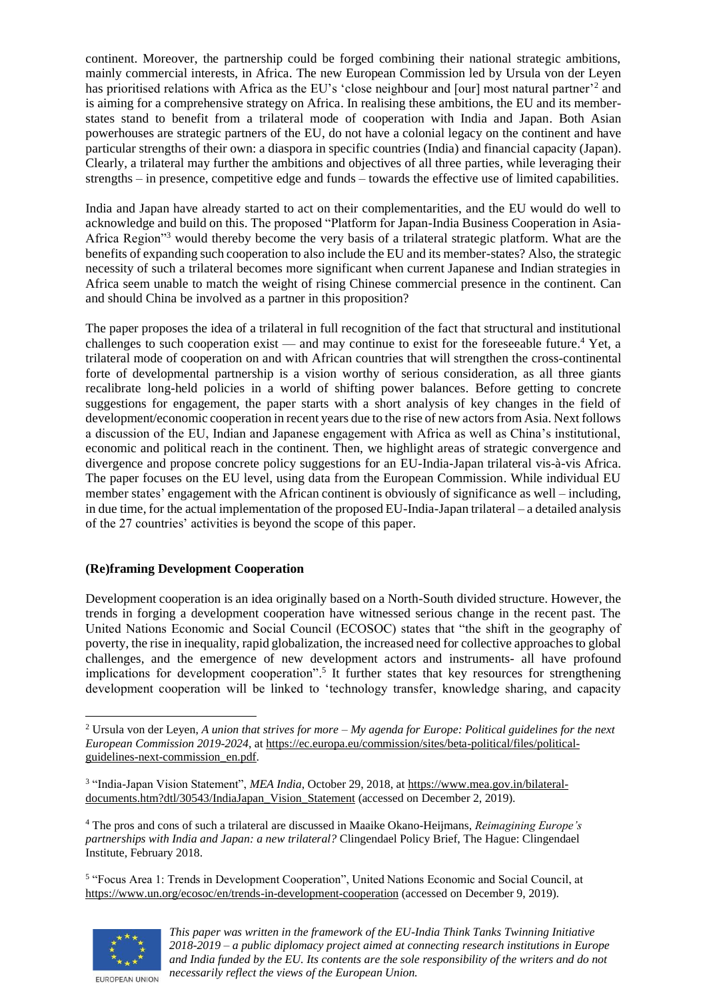continent. Moreover, the partnership could be forged combining their national strategic ambitions, mainly commercial interests, in Africa. The new European Commission led by Ursula von der Leyen has prioritised relations with Africa as the EU's 'close neighbour and [our] most natural partner'<sup>2</sup> and is aiming for a comprehensive strategy on Africa. In realising these ambitions, the EU and its memberstates stand to benefit from a trilateral mode of cooperation with India and Japan. Both Asian powerhouses are strategic partners of the EU, do not have a colonial legacy on the continent and have particular strengths of their own: a diaspora in specific countries (India) and financial capacity (Japan). Clearly, a trilateral may further the ambitions and objectives of all three parties, while leveraging their strengths – in presence, competitive edge and funds – towards the effective use of limited capabilities.

India and Japan have already started to act on their complementarities, and the EU would do well to acknowledge and build on this. The proposed "Platform for Japan-India Business Cooperation in Asia-Africa Region"<sup>3</sup> would thereby become the very basis of a trilateral strategic platform. What are the benefits of expanding such cooperation to also include the EU and its member-states? Also, the strategic necessity of such a trilateral becomes more significant when current Japanese and Indian strategies in Africa seem unable to match the weight of rising Chinese commercial presence in the continent. Can and should China be involved as a partner in this proposition?

The paper proposes the idea of a trilateral in full recognition of the fact that structural and institutional challenges to such cooperation exist — and may continue to exist for the foreseeable future.<sup>4</sup> Yet, a trilateral mode of cooperation on and with African countries that will strengthen the cross-continental forte of developmental partnership is a vision worthy of serious consideration, as all three giants recalibrate long-held policies in a world of shifting power balances. Before getting to concrete suggestions for engagement, the paper starts with a short analysis of key changes in the field of development/economic cooperation in recent years due to the rise of new actors from Asia. Next follows a discussion of the EU, Indian and Japanese engagement with Africa as well as China's institutional, economic and political reach in the continent. Then, we highlight areas of strategic convergence and divergence and propose concrete policy suggestions for an EU-India-Japan trilateral vis-à-vis Africa. The paper focuses on the EU level, using data from the European Commission. While individual EU member states' engagement with the African continent is obviously of significance as well – including, in due time, for the actual implementation of the proposed EU-India-Japan trilateral – a detailed analysis of the 27 countries' activities is beyond the scope of this paper.

# **(Re)framing Development Cooperation**

Development cooperation is an idea originally based on a North-South divided structure. However, the trends in forging a development cooperation have witnessed serious change in the recent past. The United Nations Economic and Social Council (ECOSOC) states that "the shift in the geography of poverty, the rise in inequality, rapid globalization, the increased need for collective approaches to global challenges, and the emergence of new development actors and instruments- all have profound implications for development cooperation".<sup>5</sup> It further states that key resources for strengthening development cooperation will be linked to 'technology transfer, knowledge sharing, and capacity

<sup>4</sup> The pros and cons of such a trilateral are discussed in Maaike Okano-Heijmans, *Reimagining Europe's partnerships with India and Japan: a new trilateral?* Clingendael Policy Brief, The Hague: Clingendael Institute, February 2018.

<sup>5</sup> "Focus Area 1: Trends in Development Cooperation", United Nations Economic and Social Council, at <https://www.un.org/ecosoc/en/trends-in-development-cooperation> (accessed on December 9, 2019).



<sup>2</sup> Ursula von der Leyen, *A union that strives for more – My agenda for Europe: Political guidelines for the next European Commission 2019-2024*, at [https://ec.europa.eu/commission/sites/beta-political/files/political](https://ec.europa.eu/commission/sites/beta-political/files/political-guidelines-next-commission_en.pdf)[guidelines-next-commission\\_en.pdf.](https://ec.europa.eu/commission/sites/beta-political/files/political-guidelines-next-commission_en.pdf)

<sup>3</sup> "India-Japan Vision Statement", *MEA India*, October 29, 2018, a[t https://www.mea.gov.in/bilateral](https://www.mea.gov.in/bilateral-documents.htm?dtl/30543/IndiaJapan_Vision_Statement)[documents.htm?dtl/30543/IndiaJapan\\_Vision\\_Statement](https://www.mea.gov.in/bilateral-documents.htm?dtl/30543/IndiaJapan_Vision_Statement) (accessed on December 2, 2019).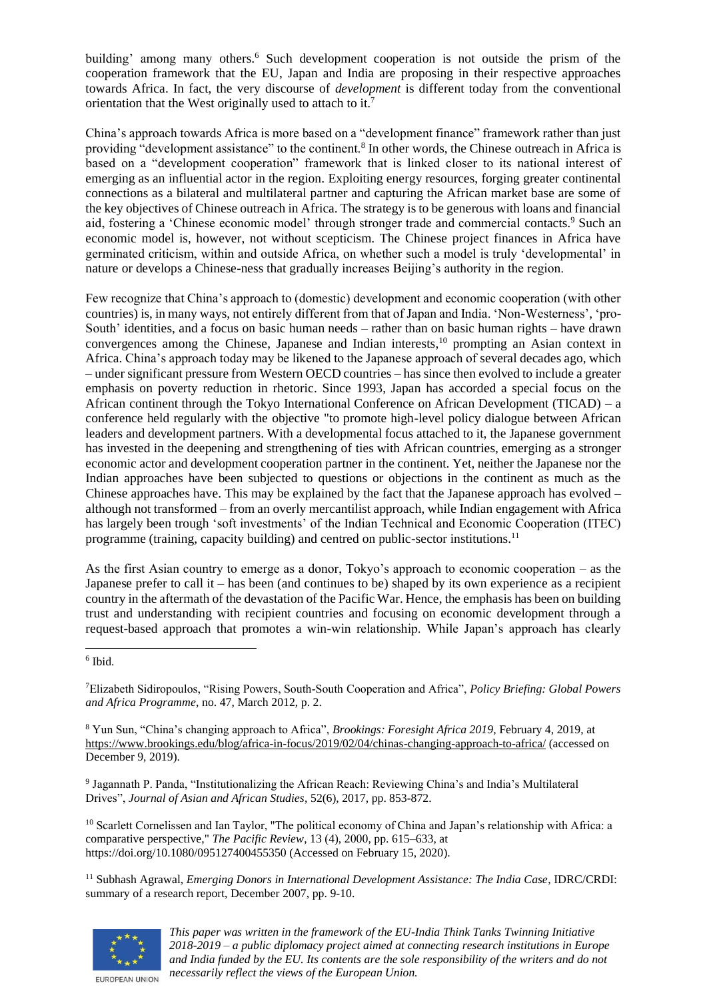building' among many others.<sup>6</sup> Such development cooperation is not outside the prism of the cooperation framework that the EU, Japan and India are proposing in their respective approaches towards Africa. In fact, the very discourse of *development* is different today from the conventional orientation that the West originally used to attach to it.<sup>7</sup>

China's approach towards Africa is more based on a "development finance" framework rather than just providing "development assistance" to the continent.<sup>8</sup> In other words, the Chinese outreach in Africa is based on a "development cooperation" framework that is linked closer to its national interest of emerging as an influential actor in the region. Exploiting energy resources, forging greater continental connections as a bilateral and multilateral partner and capturing the African market base are some of the key objectives of Chinese outreach in Africa. The strategy is to be generous with loans and financial aid, fostering a 'Chinese economic model' through stronger trade and commercial contacts.<sup>9</sup> Such an economic model is, however, not without scepticism. The Chinese project finances in Africa have germinated criticism, within and outside Africa, on whether such a model is truly 'developmental' in nature or develops a Chinese-ness that gradually increases Beijing's authority in the region.

Few recognize that China's approach to (domestic) development and economic cooperation (with other countries) is, in many ways, not entirely different from that of Japan and India. 'Non-Westerness', 'pro-South' identities, and a focus on basic human needs – rather than on basic human rights – have drawn convergences among the Chinese, Japanese and Indian interests, <sup>10</sup> prompting an Asian context in Africa. China's approach today may be likened to the Japanese approach of several decades ago, which – under significant pressure from Western OECD countries – has since then evolved to include a greater emphasis on poverty reduction in rhetoric. Since 1993, Japan has accorded a special focus on the African continent through the Tokyo International Conference on African Development (TICAD) – a conference held regularly with the objective "to promote high-level policy dialogue between African leaders and development partners. With a developmental focus attached to it, the Japanese government has invested in the deepening and strengthening of ties with African countries, emerging as a stronger economic actor and development cooperation partner in the continent. Yet, neither the Japanese nor the Indian approaches have been subjected to questions or objections in the continent as much as the Chinese approaches have. This may be explained by the fact that the Japanese approach has evolved – although not transformed – from an overly mercantilist approach, while Indian engagement with Africa has largely been trough 'soft investments' of the Indian Technical and Economic Cooperation (ITEC) programme (training, capacity building) and centred on public-sector institutions.<sup>11</sup>

As the first Asian country to emerge as a donor, Tokyo's approach to economic cooperation – as the Japanese prefer to call it – has been (and continues to be) shaped by its own experience as a recipient country in the aftermath of the devastation of the Pacific War. Hence, the emphasis has been on building trust and understanding with recipient countries and focusing on economic development through a request-based approach that promotes a win-win relationship. While Japan's approach has clearly

<sup>8</sup> Yun Sun, "China's changing approach to Africa", *Brookings: Foresight Africa 2019,* February 4, 2019, at <https://www.brookings.edu/blog/africa-in-focus/2019/02/04/chinas-changing-approach-to-africa/> (accessed on December 9, 2019).

9 Jagannath P. Panda, "Institutionalizing the African Reach: Reviewing China's and India's Multilateral Drives", *Journal of Asian and African Studies*, 52(6), 2017, pp. 853-872.

<sup>10</sup> Scarlett Cornelissen and Ian Taylor, "The political economy of China and Japan's relationship with Africa: a comparative perspective," *The Pacific Review*, 13 (4), 2000, pp. 615–633, at https://doi.org/10.1080/095127400455350 (Accessed on February 15, 2020).

<sup>11</sup> Subhash Agrawal, *Emerging Donors in International Development Assistance: The India Case*, IDRC/CRDI: summary of a research report, December 2007, pp. 9-10.



*This paper was written in the framework of the EU-India Think Tanks Twinning Initiative 2018-2019 – a public diplomacy project aimed at connecting research institutions in Europe and India funded by the EU. Its contents are the sole responsibility of the writers and do not necessarily reflect the views of the European Union.*

<sup>6</sup> Ibid.

<sup>7</sup>Elizabeth Sidiropoulos, "Rising Powers, South-South Cooperation and Africa", *Policy Briefing: Global Powers and Africa Programme*, no. 47, March 2012, p. 2.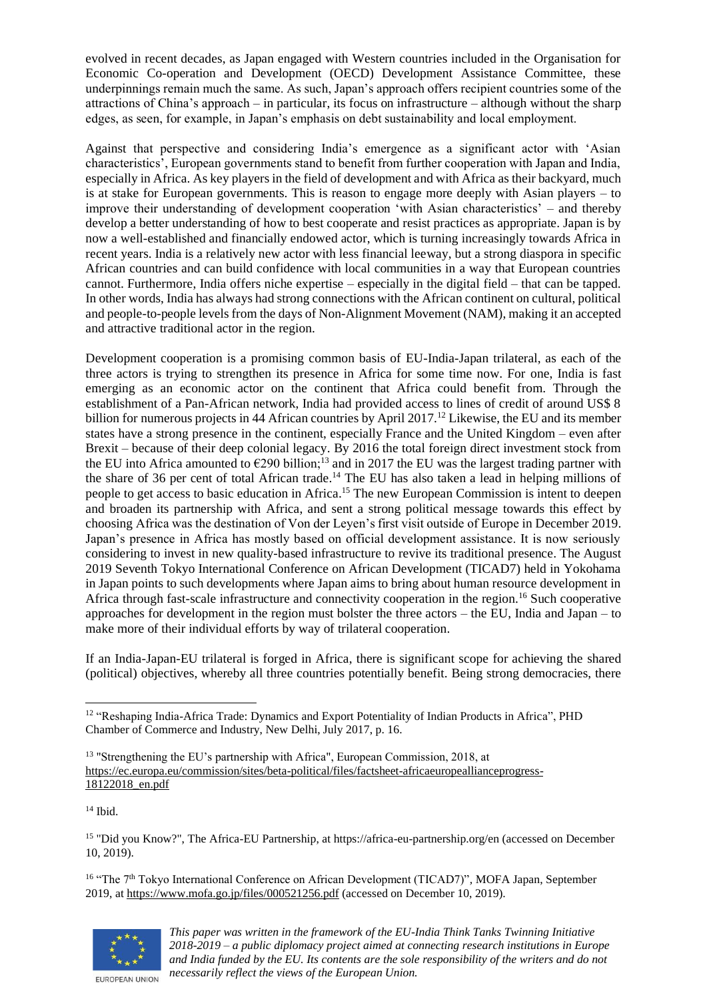evolved in recent decades, as Japan engaged with Western countries included in the Organisation for Economic Co-operation and Development (OECD) Development Assistance Committee, these underpinnings remain much the same. As such, Japan's approach offers recipient countries some of the attractions of China's approach – in particular, its focus on infrastructure – although without the sharp edges, as seen, for example, in Japan's emphasis on debt sustainability and local employment.

Against that perspective and considering India's emergence as a significant actor with 'Asian characteristics', European governments stand to benefit from further cooperation with Japan and India, especially in Africa. As key players in the field of development and with Africa as their backyard, much is at stake for European governments. This is reason to engage more deeply with Asian players – to improve their understanding of development cooperation 'with Asian characteristics' – and thereby develop a better understanding of how to best cooperate and resist practices as appropriate. Japan is by now a well-established and financially endowed actor, which is turning increasingly towards Africa in recent years. India is a relatively new actor with less financial leeway, but a strong diaspora in specific African countries and can build confidence with local communities in a way that European countries cannot. Furthermore, India offers niche expertise – especially in the digital field – that can be tapped. In other words, India has always had strong connections with the African continent on cultural, political and people-to-people levels from the days of Non-Alignment Movement (NAM), making it an accepted and attractive traditional actor in the region.

Development cooperation is a promising common basis of EU-India-Japan trilateral, as each of the three actors is trying to strengthen its presence in Africa for some time now. For one, India is fast emerging as an economic actor on the continent that Africa could benefit from. Through the establishment of a Pan-African network, India had provided access to lines of credit of around US\$ 8 billion for numerous projects in 44 African countries by April 2017.<sup>12</sup> Likewise, the EU and its member states have a strong presence in the continent, especially France and the United Kingdom – even after Brexit – because of their deep colonial legacy. By 2016 the total foreign direct investment stock from the EU into Africa amounted to  $\epsilon$ 290 billion;<sup>13</sup> and in 2017 the EU was the largest trading partner with the share of 36 per cent of total African trade.<sup>14</sup> The EU has also taken a lead in helping millions of people to get access to basic education in Africa.<sup>15</sup> The new European Commission is intent to deepen and broaden its partnership with Africa, and sent a strong political message towards this effect by choosing Africa was the destination of Von der Leyen's first visit outside of Europe in December 2019. Japan's presence in Africa has mostly based on official development assistance. It is now seriously considering to invest in new quality-based infrastructure to revive its traditional presence. The August 2019 Seventh Tokyo International Conference on African Development (TICAD7) held in Yokohama in Japan points to such developments where Japan aims to bring about human resource development in Africa through fast-scale infrastructure and connectivity cooperation in the region.<sup>16</sup> Such cooperative approaches for development in the region must bolster the three actors – the EU, India and Japan – to make more of their individual efforts by way of trilateral cooperation.

If an India-Japan-EU trilateral is forged in Africa, there is significant scope for achieving the shared (political) objectives, whereby all three countries potentially benefit. Being strong democracies, there

<sup>14</sup> Ibid.

<sup>15</sup> "Did you Know?", The Africa-EU Partnership, at https://africa-eu-partnership.org/en (accessed on December 10, 2019).

<sup>16</sup> "The 7th Tokyo International Conference on African Development (TICAD7)"*,* MOFA Japan, September 2019, a[t https://www.mofa.go.jp/files/000521256.pdf](https://www.mofa.go.jp/files/000521256.pdf) (accessed on December 10, 2019).



<sup>&</sup>lt;sup>12</sup> "Reshaping India-Africa Trade: Dynamics and Export Potentiality of Indian Products in Africa", PHD Chamber of Commerce and Industry, New Delhi, July 2017, p. 16.

<sup>&</sup>lt;sup>13</sup> "Strengthening the EU's partnership with Africa", European Commission, 2018, at [https://ec.europa.eu/commission/sites/beta-political/files/factsheet-africaeuropeallianceprogress-](https://ec.europa.eu/commission/sites/beta-political/files/factsheet-africaeuropeallianceprogress-18122018_en.pdf)[18122018\\_en.pdf](https://ec.europa.eu/commission/sites/beta-political/files/factsheet-africaeuropeallianceprogress-18122018_en.pdf)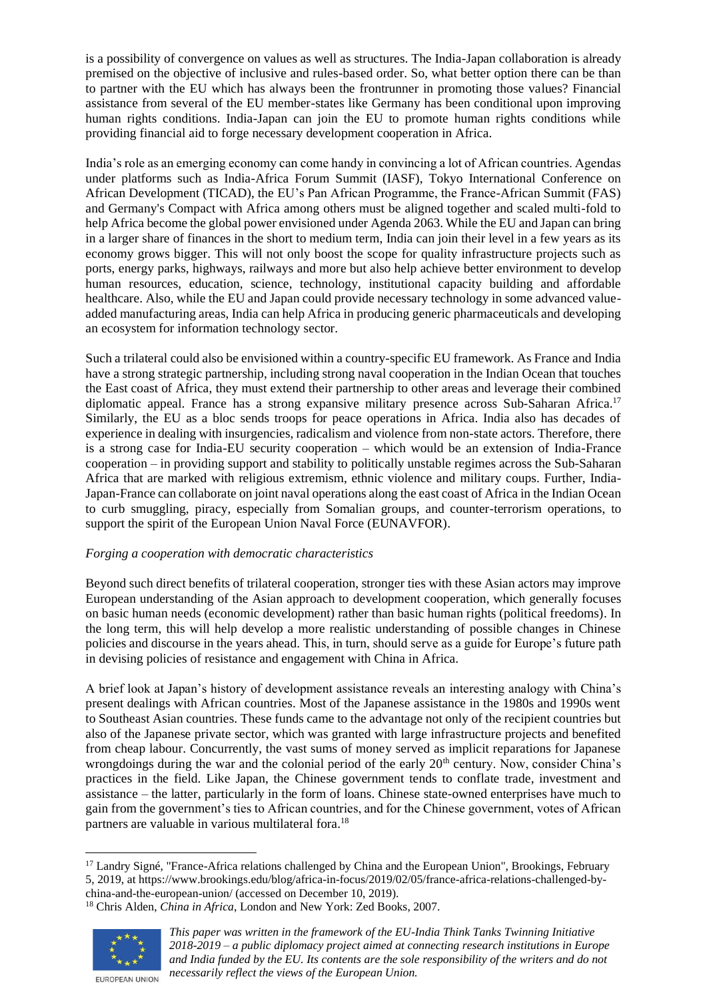is a possibility of convergence on values as well as structures. The India-Japan collaboration is already premised on the objective of inclusive and rules-based order. So, what better option there can be than to partner with the EU which has always been the frontrunner in promoting those values? Financial assistance from several of the EU member-states like Germany has been conditional upon improving human rights conditions. India-Japan can join the EU to promote human rights conditions while providing financial aid to forge necessary development cooperation in Africa.

India's role as an emerging economy can come handy in convincing a lot of African countries. Agendas under platforms such as India-Africa Forum Summit (IASF), Tokyo International Conference on African Development (TICAD), the EU's Pan African Programme, the France-African Summit (FAS) and Germany's Compact with Africa among others must be aligned together and scaled multi-fold to help Africa become the global power envisioned under Agenda 2063. While the EU and Japan can bring in a larger share of finances in the short to medium term, India can join their level in a few years as its economy grows bigger. This will not only boost the scope for quality infrastructure projects such as ports, energy parks, highways, railways and more but also help achieve better environment to develop human resources, education, science, technology, institutional capacity building and affordable healthcare. Also, while the EU and Japan could provide necessary technology in some advanced valueadded manufacturing areas, India can help Africa in producing generic pharmaceuticals and developing an ecosystem for information technology sector.

Such a trilateral could also be envisioned within a country-specific EU framework. As France and India have a strong strategic partnership, including strong naval cooperation in the Indian Ocean that touches the East coast of Africa, they must extend their partnership to other areas and leverage their combined diplomatic appeal. France has a strong expansive military presence across Sub-Saharan Africa.<sup>17</sup> Similarly, the EU as a bloc sends troops for peace operations in Africa. India also has decades of experience in dealing with insurgencies, radicalism and violence from non-state actors. Therefore, there is a strong case for India-EU security cooperation – which would be an extension of India-France cooperation – in providing support and stability to politically unstable regimes across the Sub-Saharan Africa that are marked with religious extremism, ethnic violence and military coups. Further, India-Japan-France can collaborate on joint naval operations along the east coast of Africa in the Indian Ocean to curb smuggling, piracy, especially from Somalian groups, and counter-terrorism operations, to support the spirit of the European Union Naval Force (EUNAVFOR).

# *Forging a cooperation with democratic characteristics*

Beyond such direct benefits of trilateral cooperation, stronger ties with these Asian actors may improve European understanding of the Asian approach to development cooperation, which generally focuses on basic human needs (economic development) rather than basic human rights (political freedoms). In the long term, this will help develop a more realistic understanding of possible changes in Chinese policies and discourse in the years ahead. This, in turn, should serve as a guide for Europe's future path in devising policies of resistance and engagement with China in Africa.

A brief look at Japan's history of development assistance reveals an interesting analogy with China's present dealings with African countries. Most of the Japanese assistance in the 1980s and 1990s went to Southeast Asian countries. These funds came to the advantage not only of the recipient countries but also of the Japanese private sector, which was granted with large infrastructure projects and benefited from cheap labour. Concurrently, the vast sums of money served as implicit reparations for Japanese wrongdoings during the war and the colonial period of the early  $20<sup>th</sup>$  century. Now, consider China's practices in the field. Like Japan, the Chinese government tends to conflate trade, investment and assistance – the latter, particularly in the form of loans. Chinese state-owned enterprises have much to gain from the government's ties to African countries, and for the Chinese government, votes of African partners are valuable in various multilateral fora.<sup>18</sup>

<sup>18</sup> Chris Alden, *China in Africa*, London and New York: Zed Books, 2007.



<sup>&</sup>lt;sup>17</sup> Landry Signé, "France-Africa relations challenged by China and the European Union", Brookings, February 5, 2019, at https://www.brookings.edu/blog/africa-in-focus/2019/02/05/france-africa-relations-challenged-bychina-and-the-european-union/ (accessed on December 10, 2019).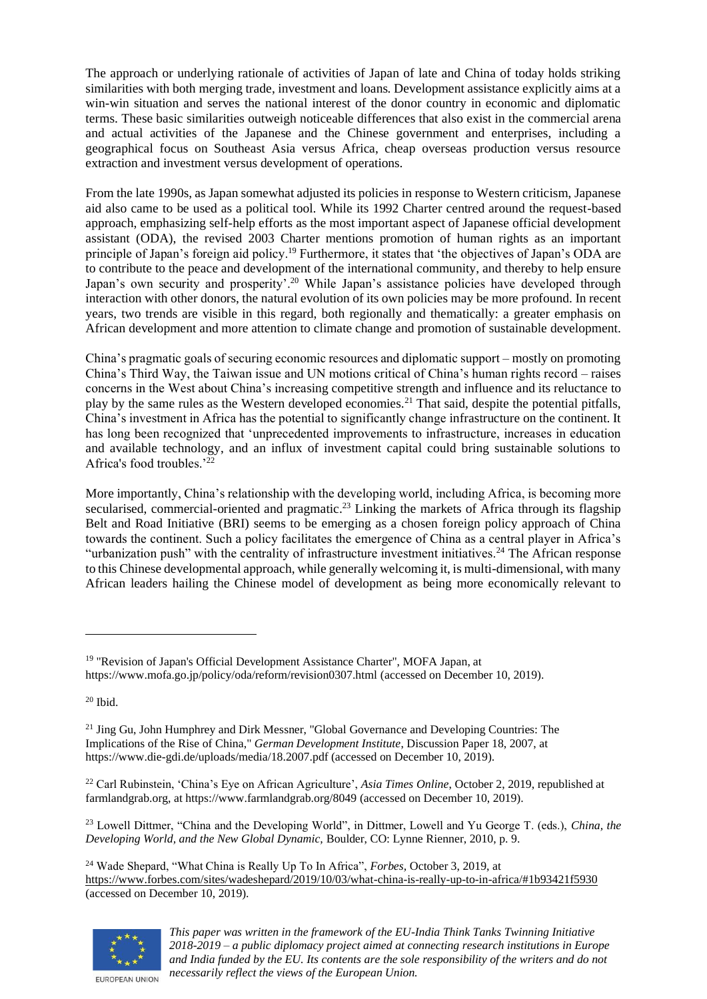The approach or underlying rationale of activities of Japan of late and China of today holds striking similarities with both merging trade, investment and loans. Development assistance explicitly aims at a win-win situation and serves the national interest of the donor country in economic and diplomatic terms. These basic similarities outweigh noticeable differences that also exist in the commercial arena and actual activities of the Japanese and the Chinese government and enterprises, including a geographical focus on Southeast Asia versus Africa, cheap overseas production versus resource extraction and investment versus development of operations.

From the late 1990s, as Japan somewhat adjusted its policies in response to Western criticism, Japanese aid also came to be used as a political tool. While its 1992 Charter centred around the request-based approach, emphasizing self-help efforts as the most important aspect of Japanese official development assistant (ODA), the revised 2003 Charter mentions promotion of human rights as an important principle of Japan's foreign aid policy.<sup>19</sup> Furthermore, it states that 'the objectives of Japan's ODA are to contribute to the peace and development of the international community, and thereby to help ensure Japan's own security and prosperity'.<sup>20</sup> While Japan's assistance policies have developed through interaction with other donors, the natural evolution of its own policies may be more profound. In recent years, two trends are visible in this regard, both regionally and thematically: a greater emphasis on African development and more attention to climate change and promotion of sustainable development.

China's pragmatic goals of securing economic resources and diplomatic support – mostly on promoting China's Third Way, the Taiwan issue and UN motions critical of China's human rights record – raises concerns in the West about China's increasing competitive strength and influence and its reluctance to play by the same rules as the Western developed economies.<sup>21</sup> That said, despite the potential pitfalls, China's investment in Africa has the potential to significantly change infrastructure on the continent. It has long been recognized that 'unprecedented improvements to infrastructure, increases in education and available technology, and an influx of investment capital could bring sustainable solutions to Africa's food troubles.'<sup>22</sup>

More importantly, China's relationship with the developing world, including Africa, is becoming more secularised, commercial-oriented and pragmatic.<sup>23</sup> Linking the markets of Africa through its flagship Belt and Road Initiative (BRI) seems to be emerging as a chosen foreign policy approach of China towards the continent. Such a policy facilitates the emergence of China as a central player in Africa's "urbanization push" with the centrality of infrastructure investment initiatives.<sup>24</sup> The African response to this Chinese developmental approach, while generally welcoming it, is multi-dimensional, with many African leaders hailing the Chinese model of development as being more economically relevant to

<sup>20</sup> Ibid.

<sup>23</sup> Lowell Dittmer, "China and the Developing World", in Dittmer, Lowell and Yu George T. (eds.), *China, the Developing World, and the New Global Dynamic,* Boulder, CO: Lynne Rienner, 2010, p. 9.

<sup>24</sup> Wade Shepard, "What China is Really Up To In Africa", *Forbes,* October 3, 2019, at <https://www.forbes.com/sites/wadeshepard/2019/10/03/what-china-is-really-up-to-in-africa/#1b93421f5930> (accessed on December 10, 2019).



<sup>&</sup>lt;sup>19</sup> "Revision of Japan's Official Development Assistance Charter", MOFA Japan, at https://www.mofa.go.jp/policy/oda/reform/revision0307.html (accessed on December 10, 2019).

<sup>&</sup>lt;sup>21</sup> Jing Gu, John Humphrey and Dirk Messner, "Global Governance and Developing Countries: The Implications of the Rise of China," *German Development Institute*, Discussion Paper 18, 2007, at https://www.die-gdi.de/uploads/media/18.2007.pdf (accessed on December 10, 2019).

<sup>22</sup> Carl Rubinstein, 'China's Eye on African Agriculture', *Asia Times Online*, October 2, 2019, republished at farmlandgrab.org, at https://www.farmlandgrab.org/8049 (accessed on December 10, 2019).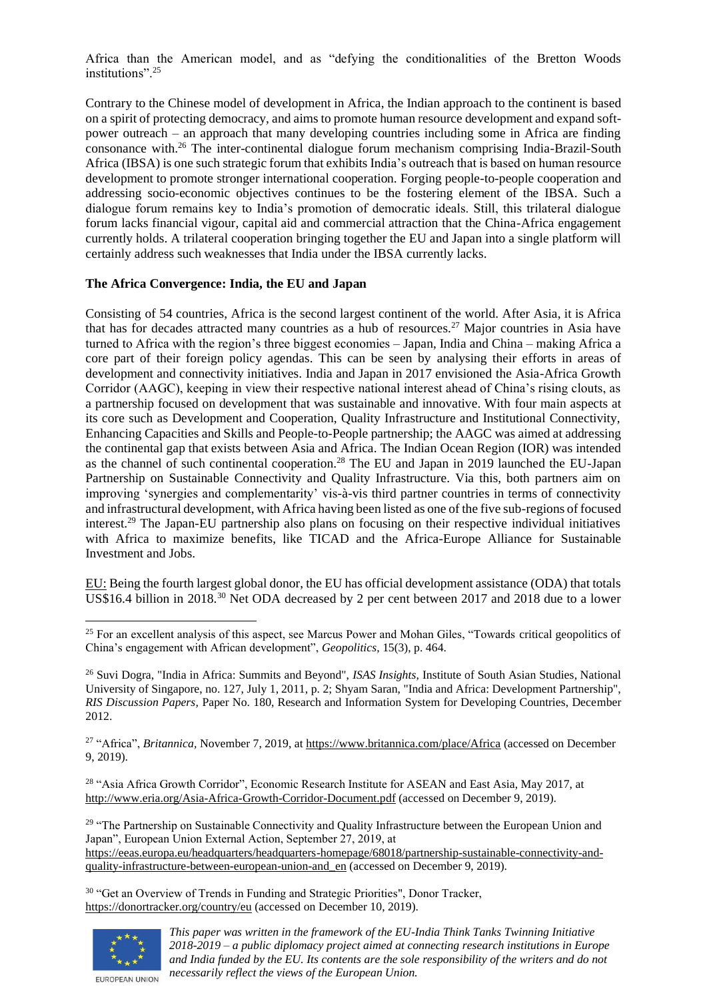Africa than the American model, and as "defying the conditionalities of the Bretton Woods institutions".<sup>25</sup>

Contrary to the Chinese model of development in Africa, the Indian approach to the continent is based on a spirit of protecting democracy, and aims to promote human resource development and expand softpower outreach – an approach that many developing countries including some in Africa are finding consonance with.<sup>26</sup> The inter-continental dialogue forum mechanism comprising India-Brazil-South Africa (IBSA) is one such strategic forum that exhibits India's outreach that is based on human resource development to promote stronger international cooperation. Forging people-to-people cooperation and addressing socio-economic objectives continues to be the fostering element of the IBSA. Such a dialogue forum remains key to India's promotion of democratic ideals. Still, this trilateral dialogue forum lacks financial vigour, capital aid and commercial attraction that the China-Africa engagement currently holds. A trilateral cooperation bringing together the EU and Japan into a single platform will certainly address such weaknesses that India under the IBSA currently lacks.

## **The Africa Convergence: India, the EU and Japan**

Consisting of 54 countries, Africa is the second largest continent of the world. After Asia, it is Africa that has for decades attracted many countries as a hub of resources.<sup>27</sup> Major countries in Asia have turned to Africa with the region's three biggest economies – Japan, India and China – making Africa a core part of their foreign policy agendas. This can be seen by analysing their efforts in areas of development and connectivity initiatives. India and Japan in 2017 envisioned the Asia-Africa Growth Corridor (AAGC), keeping in view their respective national interest ahead of China's rising clouts, as a partnership focused on development that was sustainable and innovative. With four main aspects at its core such as Development and Cooperation, Quality Infrastructure and Institutional Connectivity, Enhancing Capacities and Skills and People-to-People partnership; the AAGC was aimed at addressing the continental gap that exists between Asia and Africa. The Indian Ocean Region (IOR) was intended as the channel of such continental cooperation.<sup>28</sup> The EU and Japan in 2019 launched the EU-Japan Partnership on Sustainable Connectivity and Quality Infrastructure. Via this, both partners aim on improving 'synergies and complementarity' vis-à-vis third partner countries in terms of connectivity and infrastructural development, with Africa having been listed as one of the five sub-regions of focused interest.<sup>29</sup> The Japan-EU partnership also plans on focusing on their respective individual initiatives with Africa to maximize benefits, like TICAD and the Africa-Europe Alliance for Sustainable Investment and Jobs.

EU: Being the fourth largest global donor, the EU has official development assistance (ODA) that totals US\$16.4 billion in 2018.<sup>30</sup> Net ODA decreased by 2 per cent between 2017 and 2018 due to a lower

<sup>27</sup> "Africa", *Britannica,* November 7, 2019, a[t https://www.britannica.com/place/Africa](https://www.britannica.com/place/Africa) (accessed on December 9, 2019).

<sup>28</sup> "Asia Africa Growth Corridor", Economic Research Institute for ASEAN and East Asia, May 2017, at <http://www.eria.org/Asia-Africa-Growth-Corridor-Document.pdf> (accessed on December 9, 2019).

<sup>29</sup> "The Partnership on Sustainable Connectivity and Quality Infrastructure between the European Union and Japan", European Union External Action, September 27, 2019, at

[https://eeas.europa.eu/headquarters/headquarters-homepage/68018/partnership-sustainable-connectivity-and](https://eeas.europa.eu/headquarters/headquarters-homepage/68018/partnership-sustainable-connectivity-and-quality-infrastructure-between-european-union-and_en)[quality-infrastructure-between-european-union-and\\_en](https://eeas.europa.eu/headquarters/headquarters-homepage/68018/partnership-sustainable-connectivity-and-quality-infrastructure-between-european-union-and_en) (accessed on December 9, 2019).

<sup>30</sup> "Get an Overview of Trends in Funding and Strategic Priorities", Donor Tracker, <https://donortracker.org/country/eu> (accessed on December 10, 2019).



<sup>&</sup>lt;sup>25</sup> For an excellent analysis of this aspect, see Marcus Power and Mohan Giles, "Towards critical geopolitics of China's engagement with African development", *Geopolitics,* 15(3), p. 464.

<sup>26</sup> Suvi Dogra, "India in Africa: Summits and Beyond", *ISAS Insights,* Institute of South Asian Studies, National University of Singapore, no. 127, July 1, 2011, p. 2; Shyam Saran, "India and Africa: Development Partnership", *RIS Discussion Papers,* Paper No. 180, Research and Information System for Developing Countries, December 2012.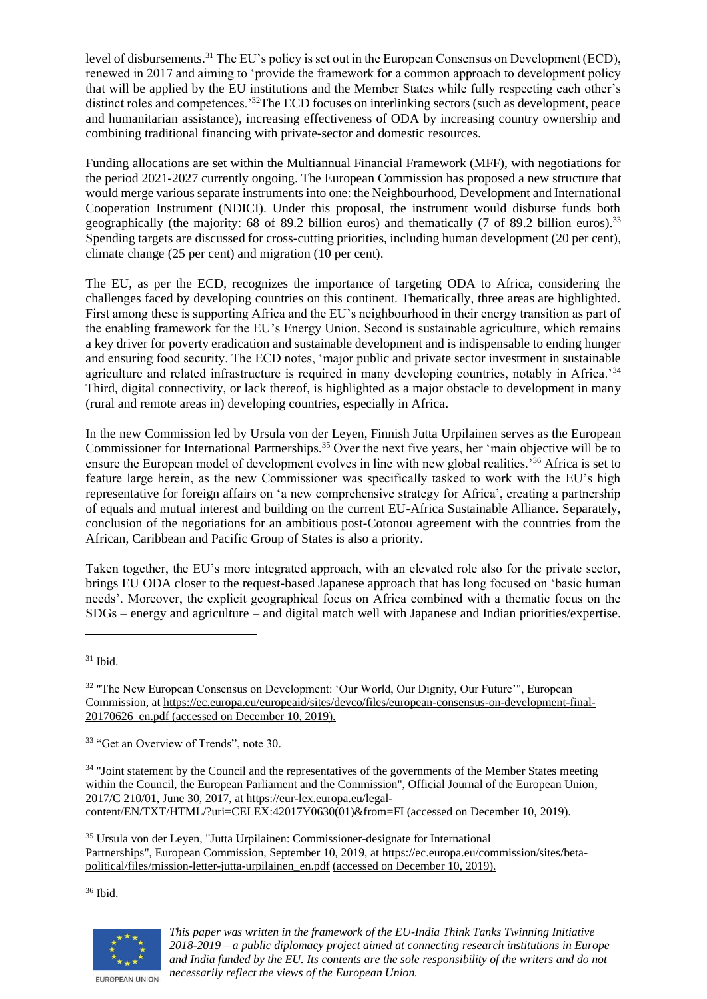level of disbursements.<sup>31</sup> The EU's policy is set out in the European Consensus on Development (ECD), renewed in 2017 and aiming to 'provide the framework for a common approach to development policy that will be applied by the EU institutions and the Member States while fully respecting each other's distinct roles and competences.'<sup>32</sup>The ECD focuses on interlinking sectors (such as development, peace and humanitarian assistance), increasing effectiveness of ODA by increasing country ownership and combining traditional financing with private-sector and domestic resources.

Funding allocations are set within the Multiannual Financial Framework (MFF), with negotiations for the period 2021-2027 currently ongoing. The European Commission has proposed a new structure that would merge various separate instruments into one: the Neighbourhood, Development and International Cooperation Instrument (NDICI). Under this proposal, the instrument would disburse funds both geographically (the majority: 68 of 89.2 billion euros) and thematically (7 of 89.2 billion euros).<sup>33</sup> Spending targets are discussed for cross-cutting priorities, including human development (20 per cent), climate change (25 per cent) and migration (10 per cent).

The EU, as per the ECD, recognizes the importance of targeting ODA to Africa, considering the challenges faced by developing countries on this continent. Thematically, three areas are highlighted. First among these is supporting Africa and the EU's neighbourhood in their energy transition as part of the enabling framework for the EU's Energy Union. Second is sustainable agriculture, which remains a key driver for poverty eradication and sustainable development and is indispensable to ending hunger and ensuring food security. The ECD notes, 'major public and private sector investment in sustainable agriculture and related infrastructure is required in many developing countries, notably in Africa.'<sup>34</sup> Third, digital connectivity, or lack thereof, is highlighted as a major obstacle to development in many (rural and remote areas in) developing countries, especially in Africa.

In the new Commission led by Ursula von der Leyen, Finnish Jutta Urpilainen serves as the European Commissioner for International Partnerships.<sup>35</sup> Over the next five years, her 'main objective will be to ensure the European model of development evolves in line with new global realities.'<sup>36</sup> Africa is set to feature large herein, as the new Commissioner was specifically tasked to work with the EU's high representative for foreign affairs on 'a new comprehensive strategy for Africa', creating a partnership of equals and mutual interest and building on the current EU-Africa Sustainable Alliance. Separately, conclusion of the negotiations for an ambitious post-Cotonou agreement with the countries from the African, Caribbean and Pacific Group of States is also a priority.

Taken together, the EU's more integrated approach, with an elevated role also for the private sector, brings EU ODA closer to the request-based Japanese approach that has long focused on 'basic human needs'. Moreover, the explicit geographical focus on Africa combined with a thematic focus on the SDGs – energy and agriculture – and digital match well with Japanese and Indian priorities/expertise.

<sup>33</sup> "Get an Overview of Trends", note 30.

<sup>34</sup> "Joint statement by the Council and the representatives of the governments of the Member States meeting within the Council, the European Parliament and the Commission", Official Journal of the European Union, 2017/C 210/01, June 30, 2017, at https://eur-lex.europa.eu/legalcontent/EN/TXT/HTML/?uri=CELEX:42017Y0630(01)&from=FI (accessed on December 10, 2019).

<sup>35</sup> Ursula von der Leyen, "Jutta Urpilainen: Commissioner-designate for International Partnerships", European Commission, September 10, 2019, at [https://ec.europa.eu/commission/sites/beta](https://ec.europa.eu/commission/sites/beta-political/files/mission-letter-jutta-urpilainen_en.pdf)[political/files/mission-letter-jutta-urpilainen\\_en.pdf](https://ec.europa.eu/commission/sites/beta-political/files/mission-letter-jutta-urpilainen_en.pdf) (accessed on December 10, 2019).

<sup>36</sup> Ibid.



 $31$  Ibid.

<sup>&</sup>lt;sup>32</sup> "The New European Consensus on Development: 'Our World, Our Dignity, Our Future'", European Commission, a[t https://ec.europa.eu/europeaid/sites/devco/files/european-consensus-on-development-final-](https://ec.europa.eu/europeaid/sites/devco/files/european-consensus-on-development-final-20170626_en.pdf)[20170626\\_en.pdf](https://ec.europa.eu/europeaid/sites/devco/files/european-consensus-on-development-final-20170626_en.pdf) (accessed on December 10, 2019).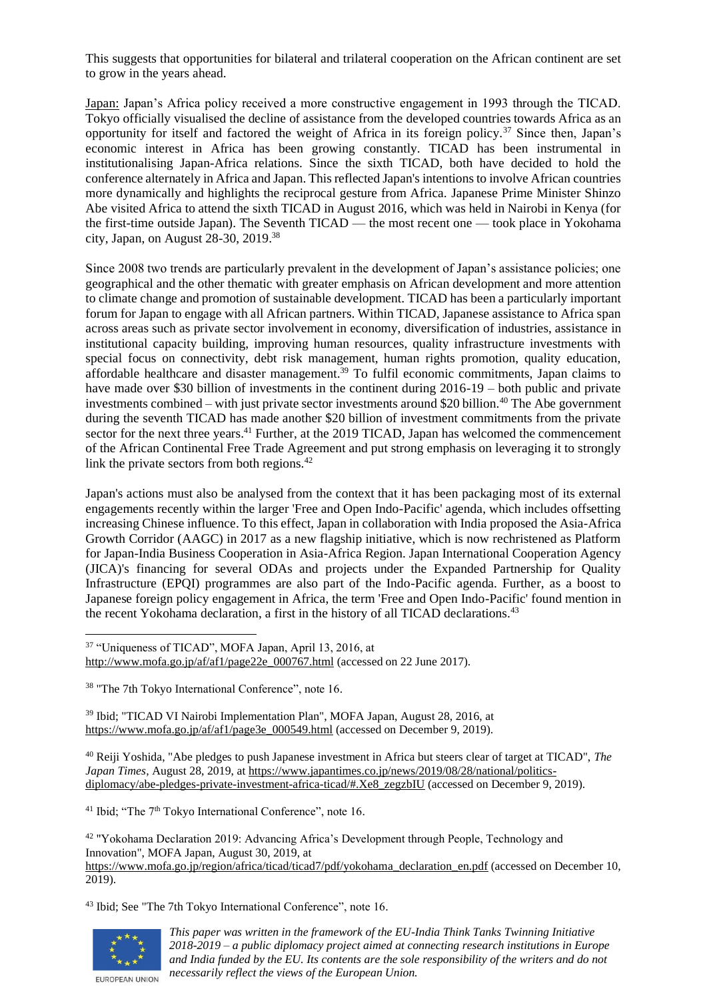This suggests that opportunities for bilateral and trilateral cooperation on the African continent are set to grow in the years ahead.

Japan: Japan's Africa policy received a more constructive engagement in 1993 through the TICAD. Tokyo officially visualised the decline of assistance from the developed countries towards Africa as an opportunity for itself and factored the weight of Africa in its foreign policy.<sup>37</sup> Since then, Japan's economic interest in Africa has been growing constantly. TICAD has been instrumental in institutionalising Japan-Africa relations. Since the sixth TICAD, both have decided to hold the conference alternately in Africa and Japan. This reflected Japan's intentions to involve African countries more dynamically and highlights the reciprocal gesture from Africa. Japanese Prime Minister Shinzo Abe visited Africa to attend the sixth TICAD in August 2016, which was held in Nairobi in Kenya (for the first-time outside Japan). The Seventh TICAD — the most recent one — took place in Yokohama city, Japan, on August 28-30, 2019.<sup>38</sup>

Since 2008 two trends are particularly prevalent in the development of Japan's assistance policies; one geographical and the other thematic with greater emphasis on African development and more attention to climate change and promotion of sustainable development. TICAD has been a particularly important forum for Japan to engage with all African partners. Within TICAD, Japanese assistance to Africa span across areas such as private sector involvement in economy, diversification of industries, assistance in institutional capacity building, improving human resources, quality infrastructure investments with special focus on connectivity, debt risk management, human rights promotion, quality education, affordable healthcare and disaster management.<sup>39</sup> To fulfil economic commitments, Japan claims to have made over \$30 billion of investments in the continent during 2016-19 – both public and private investments combined – with just private sector investments around \$20 billion.<sup>40</sup> The Abe government during the seventh TICAD has made another \$20 billion of investment commitments from the private sector for the next three years.<sup>41</sup> Further, at the 2019 TICAD, Japan has welcomed the commencement of the African Continental Free Trade Agreement and put strong emphasis on leveraging it to strongly link the private sectors from both regions. $42$ 

Japan's actions must also be analysed from the context that it has been packaging most of its external engagements recently within the larger 'Free and Open Indo-Pacific' agenda, which includes offsetting increasing Chinese influence. To this effect, Japan in collaboration with India proposed the Asia-Africa Growth Corridor (AAGC) in 2017 as a new flagship initiative, which is now rechristened as Platform for Japan-India Business Cooperation in Asia-Africa Region. Japan International Cooperation Agency (JICA)'s financing for several ODAs and projects under the Expanded Partnership for Quality Infrastructure (EPQI) programmes are also part of the Indo-Pacific agenda. Further, as a boost to Japanese foreign policy engagement in Africa, the term 'Free and Open Indo-Pacific' found mention in the recent Yokohama declaration, a first in the history of all TICAD declarations.<sup>43</sup>

<sup>39</sup> Ibid; "TICAD VI Nairobi Implementation Plan", MOFA Japan, August 28, 2016, at [https://www.mofa.go.jp/af/af1/page3e\\_000549.html](https://www.mofa.go.jp/af/af1/page3e_000549.html) (accessed on December 9, 2019).

<sup>40</sup> Reiji Yoshida, "Abe pledges to push Japanese investment in Africa but steers clear of target at TICAD", *The Japan Times*, August 28, 2019, at [https://www.japantimes.co.jp/news/2019/08/28/national/politics](https://www.japantimes.co.jp/news/2019/08/28/national/politics-diplomacy/abe-pledges-private-investment-africa-ticad/#.Xe8_zegzbIU)[diplomacy/abe-pledges-private-investment-africa-ticad/#.Xe8\\_zegzbIU](https://www.japantimes.co.jp/news/2019/08/28/national/politics-diplomacy/abe-pledges-private-investment-africa-ticad/#.Xe8_zegzbIU) (accessed on December 9, 2019).

<sup>41</sup> Ibid; "The 7<sup>th</sup> Tokyo International Conference", note 16.

<sup>42</sup> "Yokohama Declaration 2019: Advancing Africa's Development through People, Technology and Innovation", MOFA Japan, August 30, 2019, at [https://www.mofa.go.jp/region/africa/ticad/ticad7/pdf/yokohama\\_declaration\\_en.pdf](https://www.mofa.go.jp/region/africa/ticad/ticad7/pdf/yokohama_declaration_en.pdf) (accessed on December 10, 2019).

<sup>43</sup> Ibid; See "The 7th Tokyo International Conference", note 16.



*This paper was written in the framework of the EU-India Think Tanks Twinning Initiative 2018-2019 – a public diplomacy project aimed at connecting research institutions in Europe and India funded by the EU. Its contents are the sole responsibility of the writers and do not necessarily reflect the views of the European Union.*

<sup>37</sup> "Uniqueness of TICAD", MOFA Japan, April 13, 2016, at [http://www.mofa.go.jp/af/af1/page22e\\_000767.html](http://www.mofa.go.jp/af/af1/page22e_000767.html) (accessed on 22 June 2017).

<sup>&</sup>lt;sup>38</sup> "The 7th Tokyo International Conference", note 16.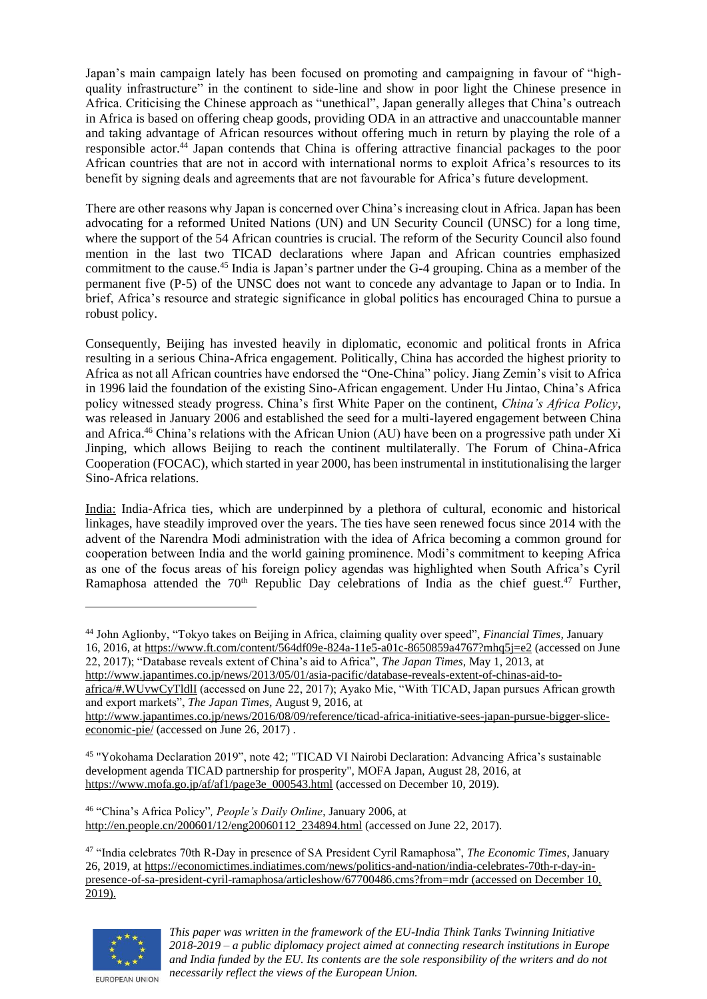Japan's main campaign lately has been focused on promoting and campaigning in favour of "highquality infrastructure" in the continent to side-line and show in poor light the Chinese presence in Africa. Criticising the Chinese approach as "unethical", Japan generally alleges that China's outreach in Africa is based on offering cheap goods, providing ODA in an attractive and unaccountable manner and taking advantage of African resources without offering much in return by playing the role of a responsible actor.<sup>44</sup> Japan contends that China is offering attractive financial packages to the poor African countries that are not in accord with international norms to exploit Africa's resources to its benefit by signing deals and agreements that are not favourable for Africa's future development.

There are other reasons why Japan is concerned over China's increasing clout in Africa. Japan has been advocating for a reformed United Nations (UN) and UN Security Council (UNSC) for a long time, where the support of the 54 African countries is crucial. The reform of the Security Council also found mention in the last two TICAD declarations where Japan and African countries emphasized commitment to the cause.<sup>45</sup> India is Japan's partner under the G-4 grouping. China as a member of the permanent five (P-5) of the UNSC does not want to concede any advantage to Japan or to India. In brief, Africa's resource and strategic significance in global politics has encouraged China to pursue a robust policy.

Consequently, Beijing has invested heavily in diplomatic, economic and political fronts in Africa resulting in a serious China-Africa engagement. Politically, China has accorded the highest priority to Africa as not all African countries have endorsed the "One-China" policy. Jiang Zemin's visit to Africa in 1996 laid the foundation of the existing Sino-African engagement. Under Hu Jintao, China's Africa policy witnessed steady progress. China's first White Paper on the continent, *China's Africa Policy*, was released in January 2006 and established the seed for a multi-layered engagement between China and Africa.<sup>46</sup> China's relations with the African Union (AU) have been on a progressive path under Xi Jinping, which allows Beijing to reach the continent multilaterally. The Forum of China-Africa Cooperation (FOCAC), which started in year 2000, has been instrumental in institutionalising the larger Sino-Africa relations.

India: India-Africa ties, which are underpinned by a plethora of cultural, economic and historical linkages, have steadily improved over the years. The ties have seen renewed focus since 2014 with the advent of the Narendra Modi administration with the idea of Africa becoming a common ground for cooperation between India and the world gaining prominence. Modi's commitment to keeping Africa as one of the focus areas of his foreign policy agendas was highlighted when South Africa's Cyril Ramaphosa attended the  $70<sup>th</sup>$  Republic Day celebrations of India as the chief guest.<sup>47</sup> Further,

[africa/#.WUvwCyTldlI](http://www.japantimes.co.jp/news/2013/05/01/asia-pacific/database-reveals-extent-of-chinas-aid-to-africa/#.WUvwCyTldlI) (accessed on June 22, 2017); Ayako Mie, "With TICAD, Japan pursues African growth and export markets", *The Japan Times,* August 9, 2016, at

[http://www.japantimes.co.jp/news/2016/08/09/reference/ticad-africa-initiative-sees-japan-pursue-bigger-slice](http://www.japantimes.co.jp/news/2016/08/09/reference/ticad-africa-initiative-sees-japan-pursue-bigger-slice-economic-pie/)[economic-pie/](http://www.japantimes.co.jp/news/2016/08/09/reference/ticad-africa-initiative-sees-japan-pursue-bigger-slice-economic-pie/) (accessed on June 26, 2017) .

<sup>45</sup> "Yokohama Declaration 2019", note 42; "TICAD VI Nairobi Declaration: Advancing Africa's sustainable development agenda TICAD partnership for prosperity", MOFA Japan, August 28, 2016, at [https://www.mofa.go.jp/af/af1/page3e\\_000543.html](https://www.mofa.go.jp/af/af1/page3e_000543.html) (accessed on December 10, 2019).

<sup>46</sup> "China's Africa Policy"*, People's Daily Online*, January 2006, at [http://en.people.cn/200601/12/eng20060112\\_234894.html](http://en.people.cn/200601/12/eng20060112_234894.html) (accessed on June 22, 2017).

<sup>47</sup> "India celebrates 70th R-Day in presence of SA President Cyril Ramaphosa", *The Economic Times*, January 26, 2019, a[t https://economictimes.indiatimes.com/news/politics-and-nation/india-celebrates-70th-r-day-in](https://economictimes.indiatimes.com/news/politics-and-nation/india-celebrates-70th-r-day-in-presence-of-sa-president-cyril-ramaphosa/articleshow/67700486.cms?from=mdr)[presence-of-sa-president-cyril-ramaphosa/articleshow/67700486.cms?from=mdr](https://economictimes.indiatimes.com/news/politics-and-nation/india-celebrates-70th-r-day-in-presence-of-sa-president-cyril-ramaphosa/articleshow/67700486.cms?from=mdr) (accessed on December 10, 2019).



<sup>44</sup> John Aglionby, "Tokyo takes on Beijing in Africa, claiming quality over speed", *Financial Times,* January 16, 2016, a[t https://www.ft.com/content/564df09e-824a-11e5-a01c-8650859a4767?mhq5j=e2](https://www.ft.com/content/564df09e-824a-11e5-a01c-8650859a4767?mhq5j=e2) (accessed on June 22, 2017); "Database reveals extent of China's aid to Africa", *The Japan Times,* May 1, 2013, at

[http://www.japantimes.co.jp/news/2013/05/01/asia-pacific/database-reveals-extent-of-chinas-aid-to-](http://www.japantimes.co.jp/news/2013/05/01/asia-pacific/database-reveals-extent-of-chinas-aid-to-africa/#.WUvwCyTldlI)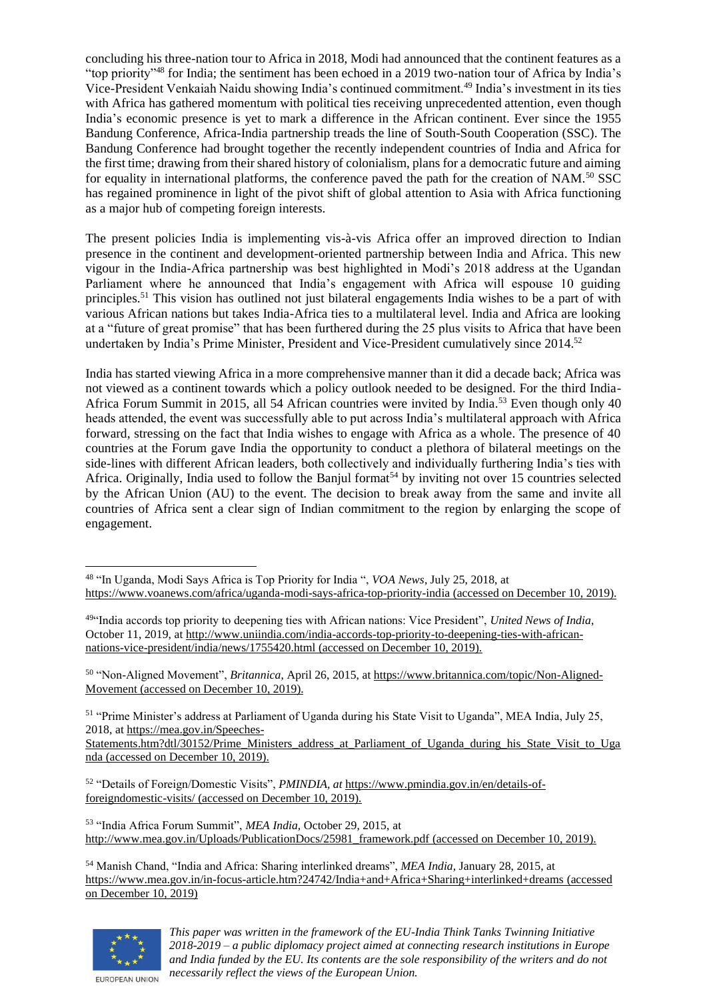concluding his three-nation tour to Africa in 2018, Modi had announced that the continent features as a "top priority"<sup>48</sup> for India; the sentiment has been echoed in a 2019 two-nation tour of Africa by India's Vice-President Venkaiah Naidu showing India's continued commitment.<sup>49</sup> India's investment in its ties with Africa has gathered momentum with political ties receiving unprecedented attention, even though India's economic presence is yet to mark a difference in the African continent. Ever since the 1955 Bandung Conference, Africa-India partnership treads the line of South-South Cooperation (SSC). The Bandung Conference had brought together the recently independent countries of India and Africa for the first time; drawing from their shared history of colonialism, plans for a democratic future and aiming for equality in international platforms, the conference paved the path for the creation of NAM.<sup>50</sup> SSC has regained prominence in light of the pivot shift of global attention to Asia with Africa functioning as a major hub of competing foreign interests.

The present policies India is implementing vis-à-vis Africa offer an improved direction to Indian presence in the continent and development-oriented partnership between India and Africa. This new vigour in the India-Africa partnership was best highlighted in Modi's 2018 address at the Ugandan Parliament where he announced that India's engagement with Africa will espouse 10 guiding principles.<sup>51</sup> This vision has outlined not just bilateral engagements India wishes to be a part of with various African nations but takes India-Africa ties to a multilateral level. India and Africa are looking at a "future of great promise" that has been furthered during the 25 plus visits to Africa that have been undertaken by India's Prime Minister, President and Vice-President cumulatively since 2014.<sup>52</sup>

India has started viewing Africa in a more comprehensive manner than it did a decade back; Africa was not viewed as a continent towards which a policy outlook needed to be designed. For the third India-Africa Forum Summit in 2015, all 54 African countries were invited by India.<sup>53</sup> Even though only 40 heads attended, the event was successfully able to put across India's multilateral approach with Africa forward, stressing on the fact that India wishes to engage with Africa as a whole. The presence of 40 countries at the Forum gave India the opportunity to conduct a plethora of bilateral meetings on the side-lines with different African leaders, both collectively and individually furthering India's ties with Africa. Originally, India used to follow the Banjul format<sup>54</sup> by inviting not over 15 countries selected by the African Union (AU) to the event. The decision to break away from the same and invite all countries of Africa sent a clear sign of Indian commitment to the region by enlarging the scope of engagement.

<sup>50</sup> "Non-Aligned Movement", *Britannica*, April 26, 2015, a[t https://www.britannica.com/topic/Non-Aligned-](https://www.britannica.com/topic/Non-Aligned-Movement)[Movement](https://www.britannica.com/topic/Non-Aligned-Movement) (accessed on December 10, 2019).

<sup>51</sup> "Prime Minister's address at Parliament of Uganda during his State Visit to Uganda", MEA India, July 25, 2018, a[t https://mea.gov.in/Speeches-](https://mea.gov.in/Speeches-Statements.htm?dtl/30152/Prime_Ministers_address_at_Parliament_of_Uganda_during_his_State_Visit_to_Uganda)

[Statements.htm?dtl/30152/Prime\\_Ministers\\_address\\_at\\_Parliament\\_of\\_Uganda\\_during\\_his\\_State\\_Visit\\_to\\_Uga](https://mea.gov.in/Speeches-Statements.htm?dtl/30152/Prime_Ministers_address_at_Parliament_of_Uganda_during_his_State_Visit_to_Uganda) [nda](https://mea.gov.in/Speeches-Statements.htm?dtl/30152/Prime_Ministers_address_at_Parliament_of_Uganda_during_his_State_Visit_to_Uganda) (accessed on December 10, 2019).

<sup>52</sup> "Details of Foreign/Domestic Visits", *PMINDIA, at* [https://www.pmindia.gov.in/en/details-of](https://www.pmindia.gov.in/en/details-of-foreigndomestic-visits/)[foreigndomestic-visits/](https://www.pmindia.gov.in/en/details-of-foreigndomestic-visits/) (accessed on December 10, 2019).

<sup>53</sup> "India Africa Forum Summit", *MEA India,* October 29, 2015, at [http://www.mea.gov.in/Uploads/PublicationDocs/25981\\_framework.pdf](http://www.mea.gov.in/Uploads/PublicationDocs/25981_framework.pdf) (accessed on December 10, 2019).

<sup>54</sup> Manish Chand, "India and Africa: Sharing interlinked dreams", *MEA India,* January 28, 2015, at <https://www.mea.gov.in/in-focus-article.htm?24742/India+and+Africa+Sharing+interlinked+dreams> (accessed on December 10, 2019)



<sup>48</sup> "In Uganda, Modi Says Africa is Top Priority for India ", *VOA News*, July 25, 2018, at <https://www.voanews.com/africa/uganda-modi-says-africa-top-priority-india> (accessed on December 10, 2019).

<sup>49</sup>"India accords top priority to deepening ties with African nations: Vice President", *United News of India*, October 11, 2019, a[t http://www.uniindia.com/india-accords-top-priority-to-deepening-ties-with-african](http://www.uniindia.com/india-accords-top-priority-to-deepening-ties-with-african-nations-vice-president/india/news/1755420.html)[nations-vice-president/india/news/1755420.html](http://www.uniindia.com/india-accords-top-priority-to-deepening-ties-with-african-nations-vice-president/india/news/1755420.html) (accessed on December 10, 2019).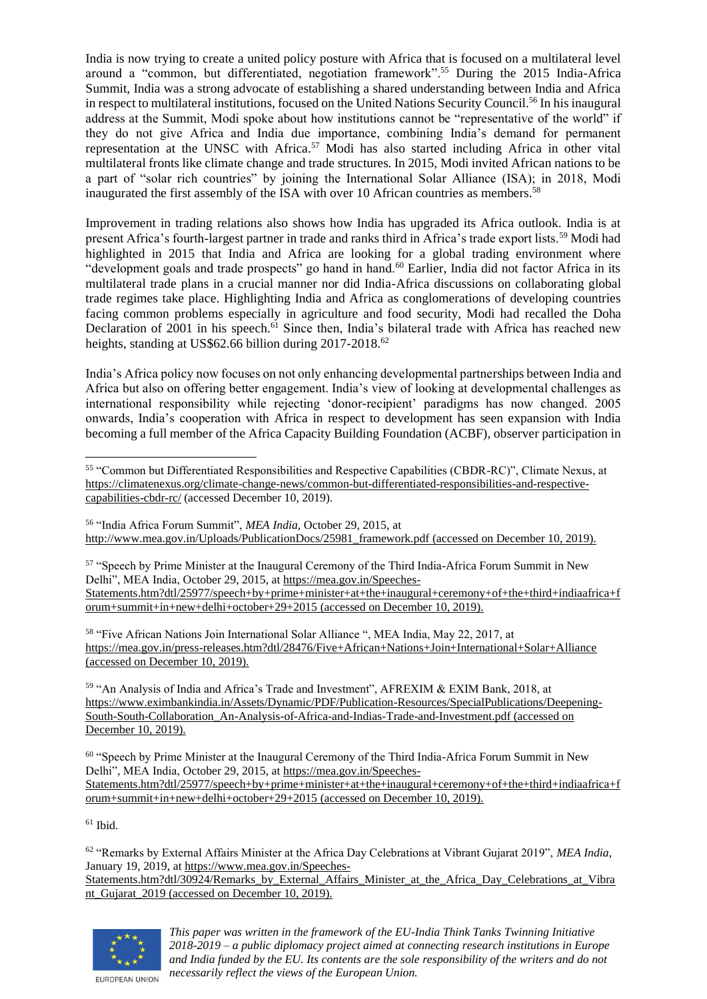India is now trying to create a united policy posture with Africa that is focused on a multilateral level around a "common, but differentiated, negotiation framework".<sup>55</sup> During the 2015 India-Africa Summit, India was a strong advocate of establishing a shared understanding between India and Africa in respect to multilateral institutions, focused on the United Nations Security Council.<sup>56</sup> In his inaugural address at the Summit, Modi spoke about how institutions cannot be "representative of the world" if they do not give Africa and India due importance, combining India's demand for permanent representation at the UNSC with Africa.<sup>57</sup> Modi has also started including Africa in other vital multilateral fronts like climate change and trade structures. In 2015, Modi invited African nations to be a part of "solar rich countries" by joining the International Solar Alliance (ISA); in 2018, Modi inaugurated the first assembly of the ISA with over 10 African countries as members.<sup>58</sup>

Improvement in trading relations also shows how India has upgraded its Africa outlook. India is at present Africa's fourth-largest partner in trade and ranks third in Africa's trade export lists.<sup>59</sup> Modi had highlighted in 2015 that India and Africa are looking for a global trading environment where "development goals and trade prospects" go hand in hand.<sup>60</sup> Earlier, India did not factor Africa in its multilateral trade plans in a crucial manner nor did India-Africa discussions on collaborating global trade regimes take place. Highlighting India and Africa as conglomerations of developing countries facing common problems especially in agriculture and food security, Modi had recalled the Doha Declaration of 2001 in his speech.<sup>61</sup> Since then, India's bilateral trade with Africa has reached new heights, standing at US\$62.66 billion during 2017-2018.<sup>62</sup>

India's Africa policy now focuses on not only enhancing developmental partnerships between India and Africa but also on offering better engagement. India's view of looking at developmental challenges as international responsibility while rejecting 'donor-recipient' paradigms has now changed. 2005 onwards, India's cooperation with Africa in respect to development has seen expansion with India becoming a full member of the Africa Capacity Building Foundation (ACBF), observer participation in

<sup>56</sup> "India Africa Forum Summit", *MEA India,* October 29, 2015, at [http://www.mea.gov.in/Uploads/PublicationDocs/25981\\_framework.pdf](http://www.mea.gov.in/Uploads/PublicationDocs/25981_framework.pdf) (accessed on December 10, 2019).

<sup>57</sup> "Speech by Prime Minister at the Inaugural Ceremony of the Third India-Africa Forum Summit in New Delhi", MEA India, October 29, 2015, a[t https://mea.gov.in/Speeches-](https://mea.gov.in/Speeches-Statements.htm?dtl/25977/speech+by+prime+minister+at+the+inaugural+ceremony+of+the+third+indiaafrica+forum+summit+in+new+delhi+october+29+2015)[Statements.htm?dtl/25977/speech+by+prime+minister+at+the+inaugural+ceremony+of+the+third+indiaafrica+f](https://mea.gov.in/Speeches-Statements.htm?dtl/25977/speech+by+prime+minister+at+the+inaugural+ceremony+of+the+third+indiaafrica+forum+summit+in+new+delhi+october+29+2015) [orum+summit+in+new+delhi+october+29+2015](https://mea.gov.in/Speeches-Statements.htm?dtl/25977/speech+by+prime+minister+at+the+inaugural+ceremony+of+the+third+indiaafrica+forum+summit+in+new+delhi+october+29+2015) (accessed on December 10, 2019).

<sup>58</sup> "Five African Nations Join International Solar Alliance ", MEA India, May 22, 2017, at <https://mea.gov.in/press-releases.htm?dtl/28476/Five+African+Nations+Join+International+Solar+Alliance> (accessed on December 10, 2019).

<sup>59</sup> "An Analysis of India and Africa's Trade and Investment", AFREXIM & EXIM Bank, 2018, at [https://www.eximbankindia.in/Assets/Dynamic/PDF/Publication-Resources/SpecialPublications/Deepening-](https://www.eximbankindia.in/Assets/Dynamic/PDF/Publication-Resources/SpecialPublications/Deepening-South-South-Collaboration_An-Analysis-of-Africa-and-Indias-Trade-and-Investment.pdf)[South-South-Collaboration\\_An-Analysis-of-Africa-and-Indias-Trade-and-Investment.pdf](https://www.eximbankindia.in/Assets/Dynamic/PDF/Publication-Resources/SpecialPublications/Deepening-South-South-Collaboration_An-Analysis-of-Africa-and-Indias-Trade-and-Investment.pdf) (accessed on December 10, 2019).

<sup>60</sup> "Speech by Prime Minister at the Inaugural Ceremony of the Third India-Africa Forum Summit in New Delhi", MEA India, October 29, 2015, a[t https://mea.gov.in/Speeches-](https://mea.gov.in/Speeches-Statements.htm?dtl/25977/speech+by+prime+minister+at+the+inaugural+ceremony+of+the+third+indiaafrica+forum+summit+in+new+delhi+october+29+2015)[Statements.htm?dtl/25977/speech+by+prime+minister+at+the+inaugural+ceremony+of+the+third+indiaafrica+f](https://mea.gov.in/Speeches-Statements.htm?dtl/25977/speech+by+prime+minister+at+the+inaugural+ceremony+of+the+third+indiaafrica+forum+summit+in+new+delhi+october+29+2015) [orum+summit+in+new+delhi+october+29+2015](https://mea.gov.in/Speeches-Statements.htm?dtl/25977/speech+by+prime+minister+at+the+inaugural+ceremony+of+the+third+indiaafrica+forum+summit+in+new+delhi+october+29+2015) (accessed on December 10, 2019).

 $61$  Ibid.

<sup>62</sup> "Remarks by External Affairs Minister at the Africa Day Celebrations at Vibrant Gujarat 2019", *MEA India*, January 19, 2019, a[t https://www.mea.gov.in/Speeches-](https://www.mea.gov.in/Speeches-Statements.htm?dtl/30924/Remarks_by_External_Affairs_Minister_at_the_Africa_Day_Celebrations_at_Vibrant_Gujarat_2019)[Statements.htm?dtl/30924/Remarks\\_by\\_External\\_Affairs\\_Minister\\_at\\_the\\_Africa\\_Day\\_Celebrations\\_at\\_Vibra](https://www.mea.gov.in/Speeches-Statements.htm?dtl/30924/Remarks_by_External_Affairs_Minister_at_the_Africa_Day_Celebrations_at_Vibrant_Gujarat_2019) [nt\\_Gujarat\\_2019](https://www.mea.gov.in/Speeches-Statements.htm?dtl/30924/Remarks_by_External_Affairs_Minister_at_the_Africa_Day_Celebrations_at_Vibrant_Gujarat_2019) (accessed on December 10, 2019).



<sup>55</sup> "Common but Differentiated Responsibilities and Respective Capabilities (CBDR-RC)", Climate Nexus, at [https://climatenexus.org/climate-change-news/common-but-differentiated-responsibilities-and-respective](https://climatenexus.org/climate-change-news/common-but-differentiated-responsibilities-and-respective-capabilities-cbdr-rc/)[capabilities-cbdr-rc/](https://climatenexus.org/climate-change-news/common-but-differentiated-responsibilities-and-respective-capabilities-cbdr-rc/) (accessed December 10, 2019).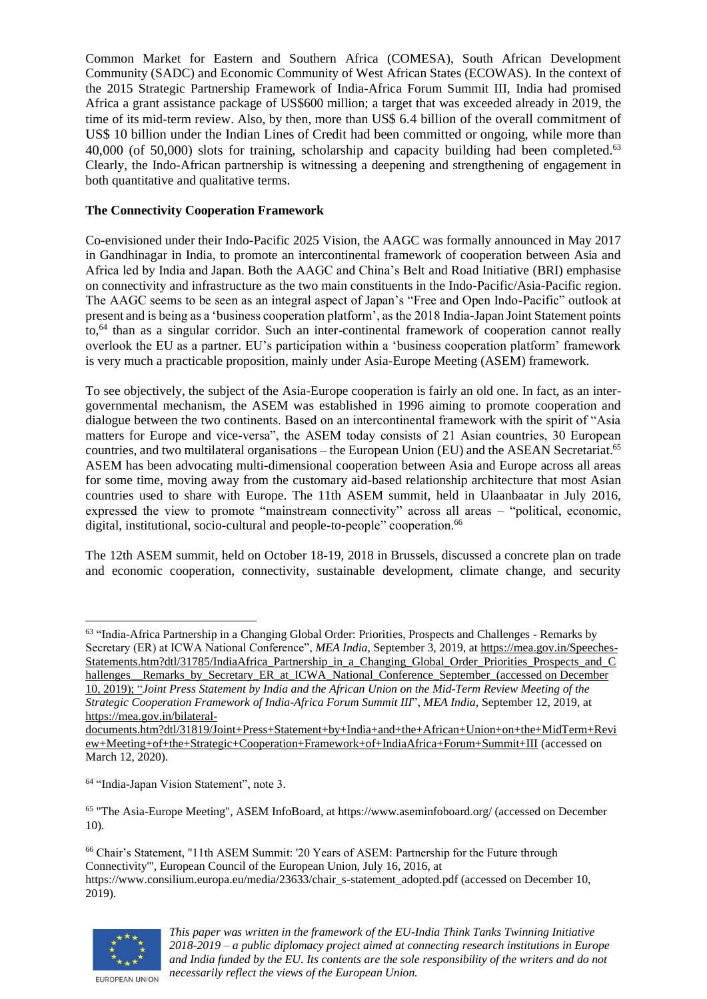Common Market for Eastern and Southern Africa (COMESA), South African Development Community (SADC) and Economic Community of West African States (ECOWAS). In the context of the 2015 Strategic Partnership Framework of India-Africa Forum Summit III, India had promised Africa a grant assistance package of US\$600 million; a target that was exceeded already in 2019, the time of its mid-term review. Also, by then, more than US\$ 6.4 billion of the overall commitment of US\$ 10 billion under the Indian Lines of Credit had been committed or ongoing, while more than 40,000 (of 50,000) slots for training, scholarship and capacity building had been completed.<sup>63</sup> Clearly, the Indo-African partnership is witnessing a deepening and strengthening of engagement in both quantitative and qualitative terms.

## **The Connectivity Cooperation Framework**

Co-envisioned under their Indo-Pacific 2025 Vision, the AAGC was formally announced in May 2017 in Gandhinagar in India, to promote an intercontinental framework of cooperation between Asia and Africa led by India and Japan. Both the AAGC and China's Belt and Road Initiative (BRI) emphasise on connectivity and infrastructure as the two main constituents in the Indo-Pacific/Asia-Pacific region. The AAGC seems to be seen as an integral aspect of Japan's "Free and Open Indo-Pacific" outlook at present and is being as a 'business cooperation platform', as the 2018 India-Japan Joint Statement points to,<sup>64</sup> than as a singular corridor. Such an inter-continental framework of cooperation cannot really overlook the EU as a partner. EU's participation within a 'business cooperation platform' framework is very much a practicable proposition, mainly under Asia-Europe Meeting (ASEM) framework.

To see objectively, the subject of the Asia-Europe cooperation is fairly an old one. In fact, as an intergovernmental mechanism, the ASEM was established in 1996 aiming to promote cooperation and dialogue between the two continents. Based on an intercontinental framework with the spirit of "Asia matters for Europe and vice-versa", the ASEM today consists of 21 Asian countries, 30 European countries, and two multilateral organisations – the European Union (EU) and the ASEAN Secretariat.<sup>65</sup> ASEM has been advocating multi-dimensional cooperation between Asia and Europe across all areas for some time, moving away from the customary aid-based relationship architecture that most Asian countries used to share with Europe. The 11th ASEM summit, held in Ulaanbaatar in July 2016, expressed the view to promote "mainstream connectivity" across all areas – "political, economic, digital, institutional, socio-cultural and people-to-people" cooperation.<sup>66</sup>

The 12th ASEM summit, held on October 18-19, 2018 in Brussels, discussed a concrete plan on trade and economic cooperation, connectivity, sustainable development, climate change, and security

64 "India-Japan Vision Statement", note 3.

<sup>65</sup> "The Asia-Europe Meeting", ASEM InfoBoard, at https://www.aseminfoboard.org/ (accessed on December 10).

<sup>66</sup> Chair's Statement, "11th ASEM Summit: '20 Years of ASEM: Partnership for the Future through Connectivity'", European Council of the European Union, July 16, 2016, at https://www.consilium.europa.eu/media/23633/chair\_s-statement\_adopted.pdf (accessed on December 10, 2019).



<sup>&</sup>lt;sup>63</sup> "India-Africa Partnership in a Changing Global Order: Priorities, Prospects and Challenges - Remarks by Secretary (ER) at ICWA National Conference", *MEA India*, September 3, 2019, a[t https://mea.gov.in/Speeches-](https://mea.gov.in/Speeches-Statements.htm?dtl/31785/IndiaAfrica_Partnership_in_a_Changing_Global_Order_Priorities_Prospects_and_Challenges__Remarks_by_Secretary_ER_at_ICWA_National_Conference_September_)[Statements.htm?dtl/31785/IndiaAfrica\\_Partnership\\_in\\_a\\_Changing\\_Global\\_Order\\_Priorities\\_Prospects\\_and\\_C](https://mea.gov.in/Speeches-Statements.htm?dtl/31785/IndiaAfrica_Partnership_in_a_Changing_Global_Order_Priorities_Prospects_and_Challenges__Remarks_by_Secretary_ER_at_ICWA_National_Conference_September_) hallenges Remarks by Secretary ER at ICWA National Conference September (accessed on December 10, 2019); "*Joint Press Statement by India and the African Union on the Mid-Term Review Meeting of the Strategic Cooperation Framework of India-Africa Forum Summit III*", *MEA India*, September 12, 2019, at [https://mea.gov.in/bilateral-](https://mea.gov.in/bilateral-documents.htm?dtl/31819/Joint+Press+Statement+by+India+and+the+African+Union+on+the+MidTerm+Review+Meeting+of+the+Strategic+Cooperation+Framework+of+IndiaAfrica+Forum+Summit+III)

[documents.htm?dtl/31819/Joint+Press+Statement+by+India+and+the+African+Union+on+the+MidTerm+Revi](https://mea.gov.in/bilateral-documents.htm?dtl/31819/Joint+Press+Statement+by+India+and+the+African+Union+on+the+MidTerm+Review+Meeting+of+the+Strategic+Cooperation+Framework+of+IndiaAfrica+Forum+Summit+III) [ew+Meeting+of+the+Strategic+Cooperation+Framework+of+IndiaAfrica+Forum+Summit+III](https://mea.gov.in/bilateral-documents.htm?dtl/31819/Joint+Press+Statement+by+India+and+the+African+Union+on+the+MidTerm+Review+Meeting+of+the+Strategic+Cooperation+Framework+of+IndiaAfrica+Forum+Summit+III) (accessed on March 12, 2020).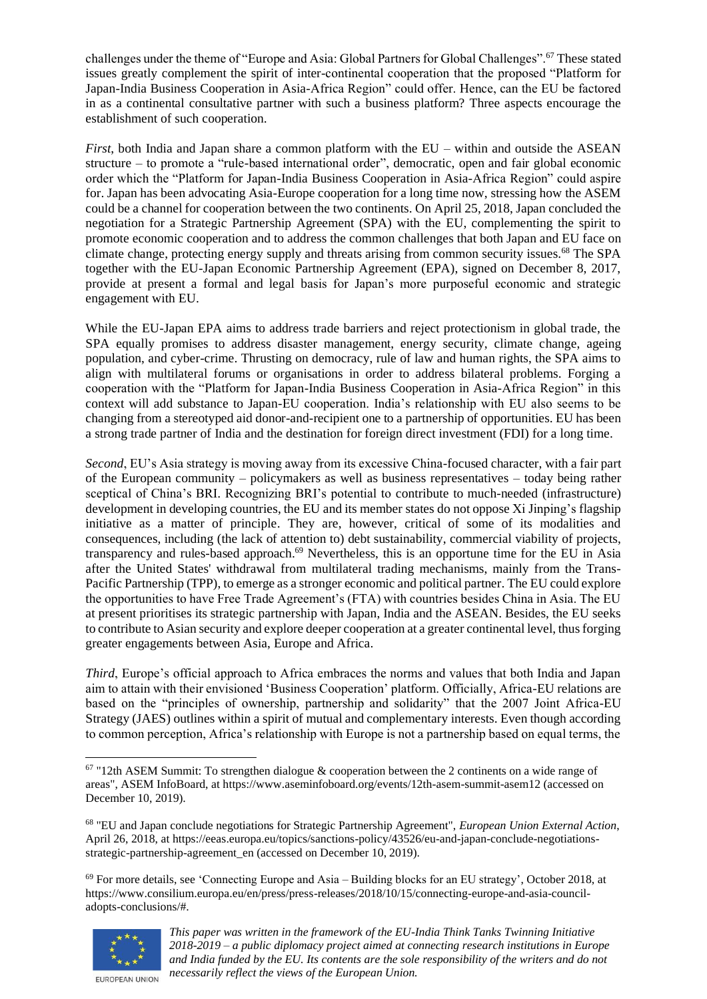challenges under the theme of "Europe and Asia: Global Partners for Global Challenges".<sup>67</sup> These stated issues greatly complement the spirit of inter-continental cooperation that the proposed "Platform for Japan-India Business Cooperation in Asia-Africa Region" could offer. Hence, can the EU be factored in as a continental consultative partner with such a business platform? Three aspects encourage the establishment of such cooperation.

*First*, both India and Japan share a common platform with the EU – within and outside the ASEAN structure – to promote a "rule-based international order", democratic, open and fair global economic order which the "Platform for Japan-India Business Cooperation in Asia-Africa Region" could aspire for. Japan has been advocating Asia-Europe cooperation for a long time now, stressing how the ASEM could be a channel for cooperation between the two continents. On April 25, 2018, Japan concluded the negotiation for a Strategic Partnership Agreement (SPA) with the EU, complementing the spirit to promote economic cooperation and to address the common challenges that both Japan and EU face on climate change, protecting energy supply and threats arising from common security issues.<sup>68</sup> The SPA together with the EU-Japan Economic Partnership Agreement (EPA), signed on December 8, 2017, provide at present a formal and legal basis for Japan's more purposeful economic and strategic engagement with EU.

While the EU-Japan EPA aims to address trade barriers and reject protectionism in global trade, the SPA equally promises to address disaster management, energy security, climate change, ageing population, and cyber-crime. Thrusting on democracy, rule of law and human rights, the SPA aims to align with multilateral forums or organisations in order to address bilateral problems. Forging a cooperation with the "Platform for Japan-India Business Cooperation in Asia-Africa Region" in this context will add substance to Japan-EU cooperation. India's relationship with EU also seems to be changing from a stereotyped aid donor-and-recipient one to a partnership of opportunities. EU has been a strong trade partner of India and the destination for foreign direct investment (FDI) for a long time.

*Second*, EU's Asia strategy is moving away from its excessive China-focused character, with a fair part of the European community – policymakers as well as business representatives – today being rather sceptical of China's BRI. Recognizing BRI's potential to contribute to much-needed (infrastructure) development in developing countries, the EU and its member states do not oppose Xi Jinping's flagship initiative as a matter of principle. They are, however, critical of some of its modalities and consequences, including (the lack of attention to) debt sustainability, commercial viability of projects, transparency and rules-based approach. <sup>69</sup> Nevertheless, this is an opportune time for the EU in Asia after the United States' withdrawal from multilateral trading mechanisms, mainly from the Trans-Pacific Partnership (TPP), to emerge as a stronger economic and political partner. The EU could explore the opportunities to have Free Trade Agreement's (FTA) with countries besides China in Asia. The EU at present prioritises its strategic partnership with Japan, India and the ASEAN. Besides, the EU seeks to contribute to Asian security and explore deeper cooperation at a greater continental level, thus forging greater engagements between Asia, Europe and Africa.

*Third*, Europe's official approach to Africa embraces the norms and values that both India and Japan aim to attain with their envisioned 'Business Cooperation' platform. Officially, Africa-EU relations are based on the "principles of ownership, partnership and solidarity" that the 2007 Joint Africa-EU Strategy (JAES) outlines within a spirit of mutual and complementary interests. Even though according to common perception, Africa's relationship with Europe is not a partnership based on equal terms, the

 $69$  For more details, see 'Connecting Europe and Asia – Building blocks for an EU strategy', October 2018, at https://www.consilium.europa.eu/en/press/press-releases/2018/10/15/connecting-europe-and-asia-counciladopts-conclusions/#.



*This paper was written in the framework of the EU-India Think Tanks Twinning Initiative 2018-2019 – a public diplomacy project aimed at connecting research institutions in Europe and India funded by the EU. Its contents are the sole responsibility of the writers and do not necessarily reflect the views of the European Union.*

 $67$  "12th ASEM Summit: To strengthen dialogue & cooperation between the 2 continents on a wide range of areas", ASEM InfoBoard, at https://www.aseminfoboard.org/events/12th-asem-summit-asem12 (accessed on December 10, 2019).

<sup>68</sup> "EU and Japan conclude negotiations for Strategic Partnership Agreement", *European Union External Action*, April 26, 2018, at https://eeas.europa.eu/topics/sanctions-policy/43526/eu-and-japan-conclude-negotiationsstrategic-partnership-agreement en (accessed on December 10, 2019).

EUROPEAN UNION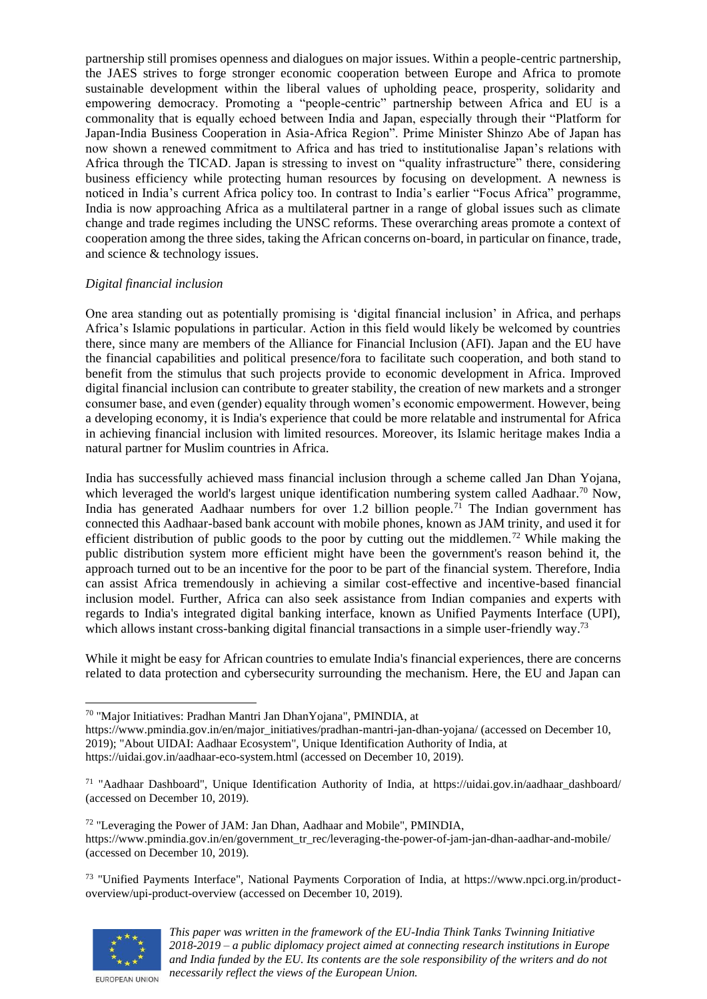partnership still promises openness and dialogues on major issues. Within a people-centric partnership, the JAES strives to forge stronger economic cooperation between Europe and Africa to promote sustainable development within the liberal values of upholding peace, prosperity, solidarity and empowering democracy. Promoting a "people-centric" partnership between Africa and EU is a commonality that is equally echoed between India and Japan, especially through their "Platform for Japan-India Business Cooperation in Asia-Africa Region". Prime Minister Shinzo Abe of Japan has now shown a renewed commitment to Africa and has tried to institutionalise Japan's relations with Africa through the TICAD. Japan is stressing to invest on "quality infrastructure" there, considering business efficiency while protecting human resources by focusing on development. A newness is noticed in India's current Africa policy too. In contrast to India's earlier "Focus Africa" programme, India is now approaching Africa as a multilateral partner in a range of global issues such as climate change and trade regimes including the UNSC reforms. These overarching areas promote a context of cooperation among the three sides, taking the African concerns on-board, in particular on finance, trade, and science & technology issues.

## *Digital financial inclusion*

One area standing out as potentially promising is 'digital financial inclusion' in Africa, and perhaps Africa's Islamic populations in particular. Action in this field would likely be welcomed by countries there, since many are members of the Alliance for Financial Inclusion (AFI). Japan and the EU have the financial capabilities and political presence/fora to facilitate such cooperation, and both stand to benefit from the stimulus that such projects provide to economic development in Africa. Improved digital financial inclusion can contribute to greater stability, the creation of new markets and a stronger consumer base, and even (gender) equality through women's economic empowerment. However, being a developing economy, it is India's experience that could be more relatable and instrumental for Africa in achieving financial inclusion with limited resources. Moreover, its Islamic heritage makes India a natural partner for Muslim countries in Africa.

India has successfully achieved mass financial inclusion through a scheme called Jan Dhan Yojana, which leveraged the world's largest unique identification numbering system called Aadhaar.<sup>70</sup> Now, India has generated Aadhaar numbers for over 1.2 billion people.<sup>71</sup> The Indian government has connected this Aadhaar-based bank account with mobile phones, known as JAM trinity, and used it for efficient distribution of public goods to the poor by cutting out the middlemen.<sup>72</sup> While making the public distribution system more efficient might have been the government's reason behind it, the approach turned out to be an incentive for the poor to be part of the financial system. Therefore, India can assist Africa tremendously in achieving a similar cost-effective and incentive-based financial inclusion model. Further, Africa can also seek assistance from Indian companies and experts with regards to India's integrated digital banking interface, known as Unified Payments Interface (UPI), which allows instant cross-banking digital financial transactions in a simple user-friendly way.<sup>73</sup>

While it might be easy for African countries to emulate India's financial experiences, there are concerns related to data protection and cybersecurity surrounding the mechanism. Here, the EU and Japan can

https://www.pmindia.gov.in/en/major\_initiatives/pradhan-mantri-jan-dhan-yojana/ (accessed on December 10, 2019); "About UIDAI: Aadhaar Ecosystem", Unique Identification Authority of India, at https://uidai.gov.in/aadhaar-eco-system.html (accessed on December 10, 2019).

<sup>73</sup> "Unified Payments Interface", National Payments Corporation of India, at https://www.npci.org.in/productoverview/upi-product-overview (accessed on December 10, 2019).



<sup>70</sup> "Major Initiatives: Pradhan Mantri Jan DhanYojana", PMINDIA, at

<sup>71</sup> "Aadhaar Dashboard", Unique Identification Authority of India, at https://uidai.gov.in/aadhaar\_dashboard/ (accessed on December 10, 2019).

<sup>72</sup> "Leveraging the Power of JAM: Jan Dhan, Aadhaar and Mobile", PMINDIA, https://www.pmindia.gov.in/en/government\_tr\_rec/leveraging-the-power-of-jam-jan-dhan-aadhar-and-mobile/ (accessed on December 10, 2019).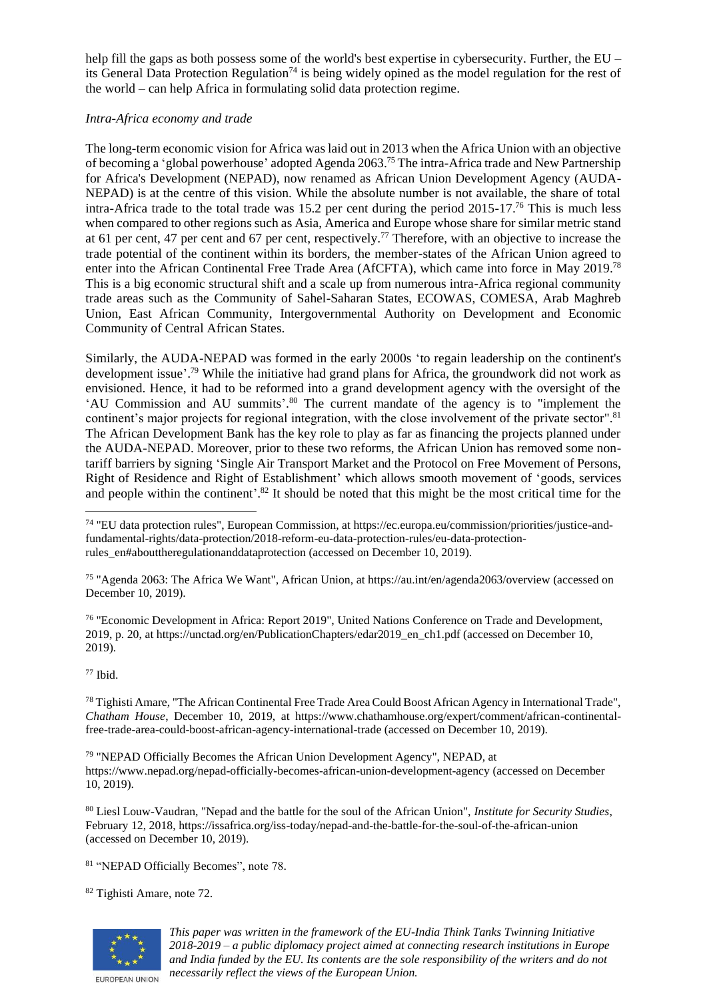help fill the gaps as both possess some of the world's best expertise in cybersecurity. Further, the EU – its General Data Protection Regulation<sup>74</sup> is being widely opined as the model regulation for the rest of the world – can help Africa in formulating solid data protection regime.

## *Intra-Africa economy and trade*

The long-term economic vision for Africa was laid out in 2013 when the Africa Union with an objective of becoming a 'global powerhouse' adopted Agenda 2063.<sup>75</sup> The intra-Africa trade and New Partnership for Africa's Development (NEPAD), now renamed as African Union Development Agency (AUDA-NEPAD) is at the centre of this vision. While the absolute number is not available, the share of total intra-Africa trade to the total trade was 15.2 per cent during the period 2015-17.<sup>76</sup> This is much less when compared to other regions such as Asia, America and Europe whose share for similar metric stand at 61 per cent, 47 per cent and 67 per cent, respectively.<sup>77</sup> Therefore, with an objective to increase the trade potential of the continent within its borders, the member-states of the African Union agreed to enter into the African Continental Free Trade Area (AfCFTA), which came into force in May 2019.<sup>78</sup> This is a big economic structural shift and a scale up from numerous intra-Africa regional community trade areas such as the Community of Sahel-Saharan States, ECOWAS, COMESA, Arab Maghreb Union, East African Community, Intergovernmental Authority on Development and Economic Community of Central African States.

Similarly, the AUDA-NEPAD was formed in the early 2000s 'to regain leadership on the continent's development issue'. <sup>79</sup> While the initiative had grand plans for Africa, the groundwork did not work as envisioned. Hence, it had to be reformed into a grand development agency with the oversight of the 'AU Commission and AU summits'. <sup>80</sup> The current mandate of the agency is to "implement the continent's major projects for regional integration, with the close involvement of the private sector".<sup>81</sup> The African Development Bank has the key role to play as far as financing the projects planned under the AUDA-NEPAD. Moreover, prior to these two reforms, the African Union has removed some nontariff barriers by signing 'Single Air Transport Market and the Protocol on Free Movement of Persons, Right of Residence and Right of Establishment' which allows smooth movement of 'goods, services and people within the continent'. <sup>82</sup> It should be noted that this might be the most critical time for the

<sup>75</sup> "Agenda 2063: The Africa We Want", African Union, at https://au.int/en/agenda2063/overview (accessed on December 10, 2019).

<sup>76</sup> "Economic Development in Africa: Report 2019", United Nations Conference on Trade and Development, 2019, p. 20, at https://unctad.org/en/PublicationChapters/edar2019\_en\_ch1.pdf (accessed on December 10, 2019).

## $77$  Ibid.

<sup>78</sup> Tighisti Amare, "The African Continental Free Trade Area Could Boost African Agency in International Trade", *Chatham House*, December 10, 2019, at https://www.chathamhouse.org/expert/comment/african-continentalfree-trade-area-could-boost-african-agency-international-trade (accessed on December 10, 2019).

<sup>79</sup> "NEPAD Officially Becomes the African Union Development Agency", NEPAD, at https://www.nepad.org/nepad-officially-becomes-african-union-development-agency (accessed on December 10, 2019).

<sup>80</sup> Liesl Louw-Vaudran, "Nepad and the battle for the soul of the African Union", *Institute for Security Studies*, February 12, 2018, https://issafrica.org/iss-today/nepad-and-the-battle-for-the-soul-of-the-african-union (accessed on December 10, 2019).

<sup>81</sup> "NEPAD Officially Becomes", note 78.

<sup>82</sup> Tighisti Amare, note 72.



*This paper was written in the framework of the EU-India Think Tanks Twinning Initiative 2018-2019 – a public diplomacy project aimed at connecting research institutions in Europe and India funded by the EU. Its contents are the sole responsibility of the writers and do not necessarily reflect the views of the European Union.*

<sup>74</sup> "EU data protection rules", European Commission, at https://ec.europa.eu/commission/priorities/justice-andfundamental-rights/data-protection/2018-reform-eu-data-protection-rules/eu-data-protectionrules\_en#abouttheregulationanddataprotection (accessed on December 10, 2019).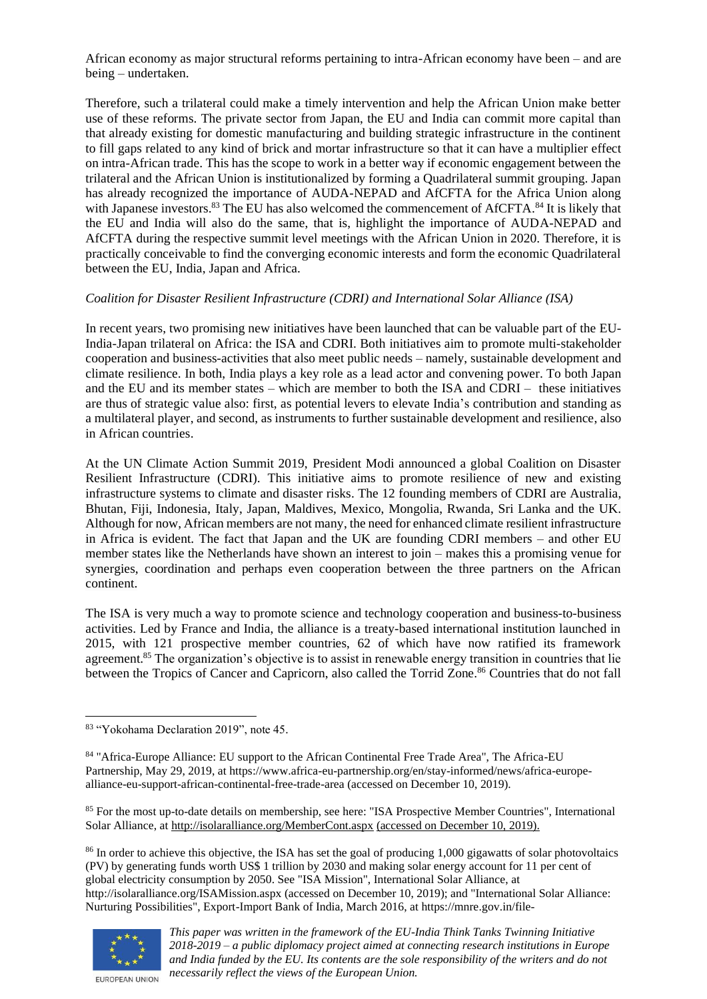African economy as major structural reforms pertaining to intra-African economy have been – and are being – undertaken.

Therefore, such a trilateral could make a timely intervention and help the African Union make better use of these reforms. The private sector from Japan, the EU and India can commit more capital than that already existing for domestic manufacturing and building strategic infrastructure in the continent to fill gaps related to any kind of brick and mortar infrastructure so that it can have a multiplier effect on intra-African trade. This has the scope to work in a better way if economic engagement between the trilateral and the African Union is institutionalized by forming a Quadrilateral summit grouping. Japan has already recognized the importance of AUDA-NEPAD and AfCFTA for the Africa Union along with Japanese investors.<sup>83</sup> The EU has also welcomed the commencement of AfCFTA.<sup>84</sup> It is likely that the EU and India will also do the same, that is, highlight the importance of AUDA-NEPAD and AfCFTA during the respective summit level meetings with the African Union in 2020. Therefore, it is practically conceivable to find the converging economic interests and form the economic Quadrilateral between the EU, India, Japan and Africa.

## *Coalition for Disaster Resilient Infrastructure (CDRI) and International Solar Alliance (ISA)*

In recent years, two promising new initiatives have been launched that can be valuable part of the EU-India-Japan trilateral on Africa: the ISA and CDRI. Both initiatives aim to promote multi-stakeholder cooperation and business-activities that also meet public needs – namely, sustainable development and climate resilience. In both, India plays a key role as a lead actor and convening power. To both Japan and the EU and its member states – which are member to both the ISA and CDRI – these initiatives are thus of strategic value also: first, as potential levers to elevate India's contribution and standing as a multilateral player, and second, as instruments to further sustainable development and resilience, also in African countries.

At the UN Climate Action Summit 2019, President Modi announced a global Coalition on Disaster Resilient Infrastructure (CDRI). This initiative aims to promote resilience of new and existing infrastructure systems to climate and disaster risks. The 12 founding members of CDRI are Australia, Bhutan, Fiji, Indonesia, Italy, Japan, Maldives, Mexico, Mongolia, Rwanda, Sri Lanka and the UK. Although for now, African members are not many, the need for enhanced climate resilient infrastructure in Africa is evident. The fact that Japan and the UK are founding CDRI members – and other EU member states like the Netherlands have shown an interest to join – makes this a promising venue for synergies, coordination and perhaps even cooperation between the three partners on the African continent.

The ISA is very much a way to promote science and technology cooperation and business-to-business activities. Led by France and India, the alliance is a treaty-based international institution launched in 2015, with 121 prospective member countries, 62 of which have now ratified its framework agreement.<sup>85</sup> The organization's objective is to assist in renewable energy transition in countries that lie between the Tropics of Cancer and Capricorn, also called the Torrid Zone.<sup>86</sup> Countries that do not fall

<sup>85</sup> For the most up-to-date details on membership, see here: "ISA Prospective Member Countries", International Solar Alliance, at<http://isolaralliance.org/MemberCont.aspx> (accessed on December 10, 2019).

<sup>86</sup> In order to achieve this objective, the ISA has set the goal of producing 1,000 gigawatts of solar photovoltaics (PV) by generating funds worth US\$ 1 trillion by 2030 and making solar energy account for 11 per cent of global electricity consumption by 2050. See "ISA Mission", International Solar Alliance, at http://isolaralliance.org/ISAMission.aspx (accessed on December 10, 2019); and "International Solar Alliance: Nurturing Possibilities", Export-Import Bank of India, March 2016, at https://mnre.gov.in/file-



EUROPEAN UNION

<sup>83</sup> "Yokohama Declaration 2019", note 45.

<sup>84</sup> "Africa-Europe Alliance: EU support to the African Continental Free Trade Area", The Africa-EU Partnership, May 29, 2019, at https://www.africa-eu-partnership.org/en/stay-informed/news/africa-europealliance-eu-support-african-continental-free-trade-area (accessed on December 10, 2019).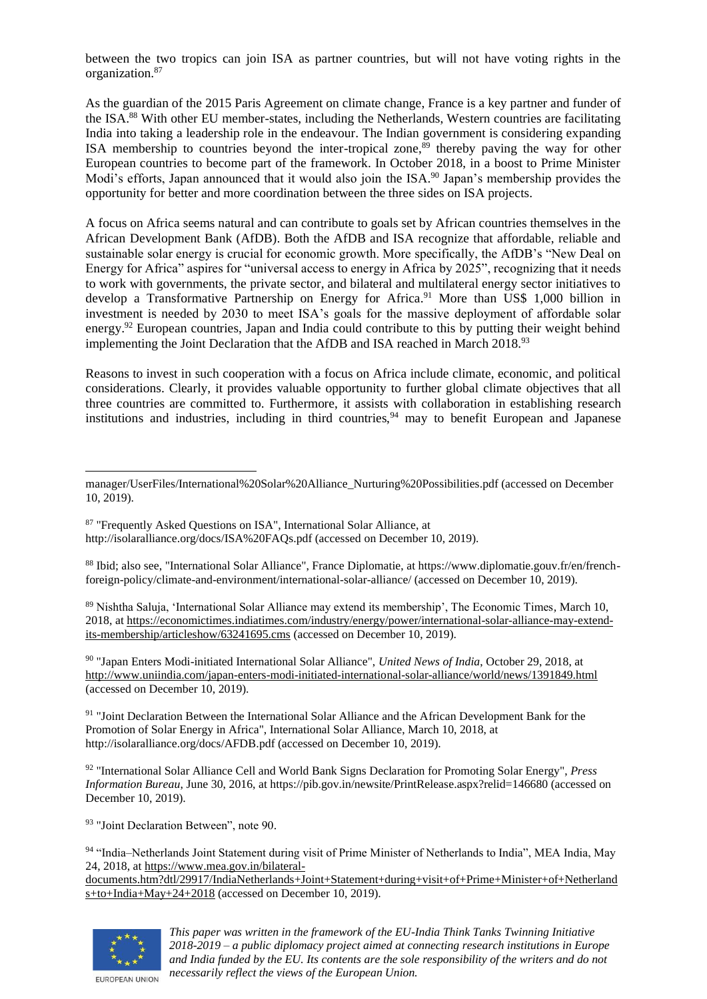between the two tropics can join ISA as partner countries, but will not have voting rights in the organization.<sup>87</sup>

As the guardian of the 2015 Paris Agreement on climate change, France is a key partner and funder of the ISA.<sup>88</sup> With other EU member-states, including the Netherlands, Western countries are facilitating India into taking a leadership role in the endeavour. The Indian government is considering expanding ISA membership to countries beyond the inter-tropical zone, $89$  thereby paving the way for other European countries to become part of the framework. In October 2018, in a boost to Prime Minister Modi's efforts, Japan announced that it would also join the ISA.<sup>90</sup> Japan's membership provides the opportunity for better and more coordination between the three sides on ISA projects.

A focus on Africa seems natural and can contribute to goals set by African countries themselves in the African Development Bank (AfDB). Both the AfDB and ISA recognize that affordable, reliable and sustainable solar energy is crucial for economic growth. More specifically, the AfDB's "New Deal on Energy for Africa" aspires for "universal access to energy in Africa by 2025", recognizing that it needs to work with governments, the private sector, and bilateral and multilateral energy sector initiatives to develop a Transformative Partnership on Energy for Africa.<sup>91</sup> More than US\$ 1,000 billion in investment is needed by 2030 to meet ISA's goals for the massive deployment of affordable solar energy.<sup>92</sup> European countries, Japan and India could contribute to this by putting their weight behind implementing the Joint Declaration that the AfDB and ISA reached in March 2018.<sup>93</sup>

Reasons to invest in such cooperation with a focus on Africa include climate, economic, and political considerations. Clearly, it provides valuable opportunity to further global climate objectives that all three countries are committed to. Furthermore, it assists with collaboration in establishing research institutions and industries, including in third countries,  $94$  may to benefit European and Japanese

<sup>88</sup> Ibid; also see, "International Solar Alliance", France Diplomatie, at https://www.diplomatie.gouv.fr/en/frenchforeign-policy/climate-and-environment/international-solar-alliance/ (accessed on December 10, 2019).

<sup>89</sup> Nishtha Saluja, 'International Solar Alliance may extend its membership', The Economic Times*,* March 10, 2018, a[t https://economictimes.indiatimes.com/industry/energy/power/international-solar-alliance-may-extend](https://economictimes.indiatimes.com/industry/energy/power/international-solar-alliance-may-extend-its-membership/articleshow/63241695.cms)[its-membership/articleshow/63241695.cms](https://economictimes.indiatimes.com/industry/energy/power/international-solar-alliance-may-extend-its-membership/articleshow/63241695.cms) (accessed on December 10, 2019).

<sup>90</sup> "Japan Enters Modi-initiated International Solar Alliance", *United News of India*, October 29, 2018, at <http://www.uniindia.com/japan-enters-modi-initiated-international-solar-alliance/world/news/1391849.html> (accessed on December 10, 2019).

<sup>91</sup> "Joint Declaration Between the International Solar Alliance and the African Development Bank for the Promotion of Solar Energy in Africa", International Solar Alliance, March 10, 2018, at http://isolaralliance.org/docs/AFDB.pdf (accessed on December 10, 2019).

<sup>92</sup> "International Solar Alliance Cell and World Bank Signs Declaration for Promoting Solar Energy", *Press Information Bureau*, June 30, 2016, at https://pib.gov.in/newsite/PrintRelease.aspx?relid=146680 (accessed on December 10, 2019).

<sup>93</sup> "Joint Declaration Between", note 90.

94 "India–Netherlands Joint Statement during visit of Prime Minister of Netherlands to India", MEA India, May 24, 2018, a[t https://www.mea.gov.in/bilateral-](https://www.mea.gov.in/bilateral-documents.htm?dtl/29917/IndiaNetherlands+Joint+Statement+during+visit+of+Prime+Minister+of+Netherlands+to+India+May+24+2018)

[documents.htm?dtl/29917/IndiaNetherlands+Joint+Statement+during+visit+of+Prime+Minister+of+Netherland](https://www.mea.gov.in/bilateral-documents.htm?dtl/29917/IndiaNetherlands+Joint+Statement+during+visit+of+Prime+Minister+of+Netherlands+to+India+May+24+2018) [s+to+India+May+24+2018](https://www.mea.gov.in/bilateral-documents.htm?dtl/29917/IndiaNetherlands+Joint+Statement+during+visit+of+Prime+Minister+of+Netherlands+to+India+May+24+2018) (accessed on December 10, 2019).



manager/UserFiles/International%20Solar%20Alliance\_Nurturing%20Possibilities.pdf (accessed on December 10, 2019).

<sup>87 &</sup>quot;Frequently Asked Questions on ISA", International Solar Alliance, at http://isolaralliance.org/docs/ISA%20FAQs.pdf (accessed on December 10, 2019).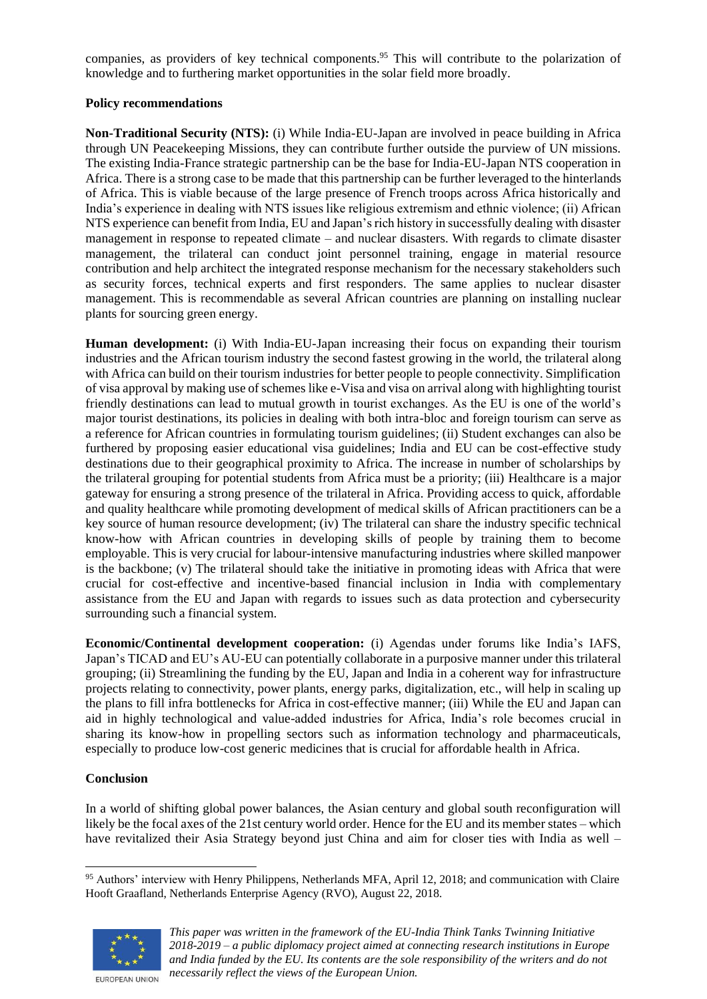companies, as providers of key technical components.<sup>95</sup> This will contribute to the polarization of knowledge and to furthering market opportunities in the solar field more broadly.

## **Policy recommendations**

**Non-Traditional Security (NTS):** (i) While India-EU-Japan are involved in peace building in Africa through UN Peacekeeping Missions, they can contribute further outside the purview of UN missions. The existing India-France strategic partnership can be the base for India-EU-Japan NTS cooperation in Africa. There is a strong case to be made that this partnership can be further leveraged to the hinterlands of Africa. This is viable because of the large presence of French troops across Africa historically and India's experience in dealing with NTS issues like religious extremism and ethnic violence; (ii) African NTS experience can benefit from India, EU and Japan's rich history in successfully dealing with disaster management in response to repeated climate – and nuclear disasters. With regards to climate disaster management, the trilateral can conduct joint personnel training, engage in material resource contribution and help architect the integrated response mechanism for the necessary stakeholders such as security forces, technical experts and first responders. The same applies to nuclear disaster management. This is recommendable as several African countries are planning on installing nuclear plants for sourcing green energy.

**Human development:** (i) With India-EU-Japan increasing their focus on expanding their tourism industries and the African tourism industry the second fastest growing in the world, the trilateral along with Africa can build on their tourism industries for better people to people connectivity. Simplification of visa approval by making use of schemes like e-Visa and visa on arrival along with highlighting tourist friendly destinations can lead to mutual growth in tourist exchanges. As the EU is one of the world's major tourist destinations, its policies in dealing with both intra-bloc and foreign tourism can serve as a reference for African countries in formulating tourism guidelines; (ii) Student exchanges can also be furthered by proposing easier educational visa guidelines; India and EU can be cost-effective study destinations due to their geographical proximity to Africa. The increase in number of scholarships by the trilateral grouping for potential students from Africa must be a priority; (iii) Healthcare is a major gateway for ensuring a strong presence of the trilateral in Africa. Providing access to quick, affordable and quality healthcare while promoting development of medical skills of African practitioners can be a key source of human resource development; (iv) The trilateral can share the industry specific technical know-how with African countries in developing skills of people by training them to become employable. This is very crucial for labour-intensive manufacturing industries where skilled manpower is the backbone; (v) The trilateral should take the initiative in promoting ideas with Africa that were crucial for cost-effective and incentive-based financial inclusion in India with complementary assistance from the EU and Japan with regards to issues such as data protection and cybersecurity surrounding such a financial system.

**Economic/Continental development cooperation:** (i) Agendas under forums like India's IAFS, Japan's TICAD and EU's AU-EU can potentially collaborate in a purposive manner under this trilateral grouping; (ii) Streamlining the funding by the EU, Japan and India in a coherent way for infrastructure projects relating to connectivity, power plants, energy parks, digitalization, etc., will help in scaling up the plans to fill infra bottlenecks for Africa in cost-effective manner; (iii) While the EU and Japan can aid in highly technological and value-added industries for Africa, India's role becomes crucial in sharing its know-how in propelling sectors such as information technology and pharmaceuticals, especially to produce low-cost generic medicines that is crucial for affordable health in Africa.

# **Conclusion**

In a world of shifting global power balances, the Asian century and global south reconfiguration will likely be the focal axes of the 21st century world order. Hence for the EU and its member states – which have revitalized their Asia Strategy beyond just China and aim for closer ties with India as well –

<sup>95</sup> Authors' interview with Henry Philippens, Netherlands MFA, April 12, 2018; and communication with Claire Hooft Graafland, Netherlands Enterprise Agency (RVO), August 22, 2018.



*This paper was written in the framework of the EU-India Think Tanks Twinning Initiative 2018-2019 – a public diplomacy project aimed at connecting research institutions in Europe and India funded by the EU. Its contents are the sole responsibility of the writers and do not necessarily reflect the views of the European Union.*